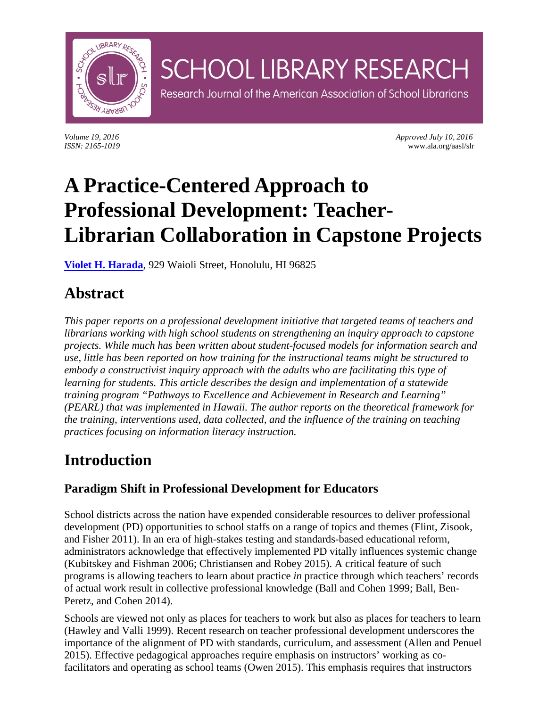

*Volume 19, 2016 Approved July 10, 2016 ISSN: 2165-1019* www.ala.org/aasl/slr

# **A Practice-Centered Approach to Professional Development: Teacher-Librarian Collaboration in Capstone Projects**

**SCHOOL LIBRARY RESEARCH** 

Research Journal of the American Association of School Librarians

**[Violet H. Harada](mailto:vharada@hawaii.edu)**, 929 Waioli Street, Honolulu, HI 96825

## **Abstract**

*This paper reports on a professional development initiative that targeted teams of teachers and librarians working with high school students on strengthening an inquiry approach to capstone projects. While much has been written about student-focused models for information search and use, little has been reported on how training for the instructional teams might be structured to embody a constructivist inquiry approach with the adults who are facilitating this type of learning for students. This article describes the design and implementation of a statewide training program "Pathways to Excellence and Achievement in Research and Learning" (PEARL) that was implemented in Hawaii. The author reports on the theoretical framework for the training, interventions used, data collected, and the influence of the training on teaching practices focusing on information literacy instruction.*

## **Introduction**

### **Paradigm Shift in Professional Development for Educators**

School districts across the nation have expended considerable resources to deliver professional development (PD) opportunities to school staffs on a range of topics and themes (Flint, Zisook, and Fisher 2011). In an era of high-stakes testing and standards-based educational reform, administrators acknowledge that effectively implemented PD vitally influences systemic change (Kubitskey and Fishman 2006; Christiansen and Robey 2015). A critical feature of such programs is allowing teachers to learn about practice *in* practice through which teachers' records of actual work result in collective professional knowledge (Ball and Cohen 1999; Ball, Ben-Peretz, and Cohen 2014).

Schools are viewed not only as places for teachers to work but also as places for teachers to learn (Hawley and Valli 1999). Recent research on teacher professional development underscores the importance of the alignment of PD with standards, curriculum, and assessment (Allen and Penuel 2015). Effective pedagogical approaches require emphasis on instructors' working as cofacilitators and operating as school teams (Owen 2015). This emphasis requires that instructors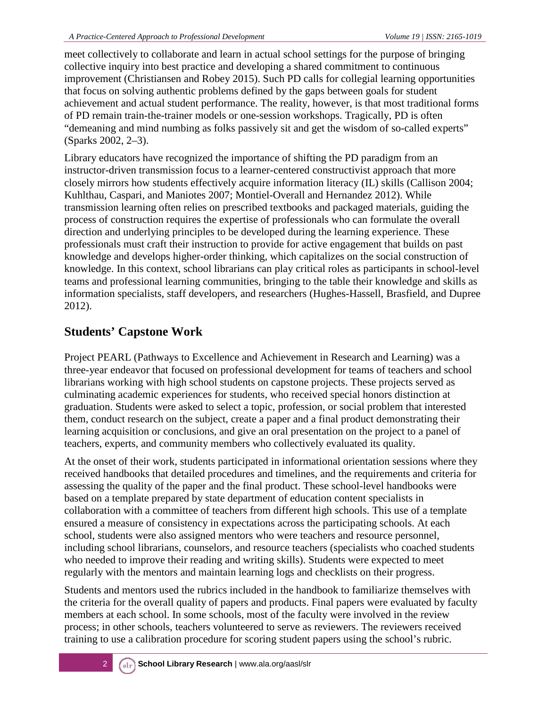meet collectively to collaborate and learn in actual school settings for the purpose of bringing collective inquiry into best practice and developing a shared commitment to continuous improvement (Christiansen and Robey 2015). Such PD calls for collegial learning opportunities that focus on solving authentic problems defined by the gaps between goals for student achievement and actual student performance. The reality, however, is that most traditional forms of PD remain train-the-trainer models or one-session workshops. Tragically, PD is often "demeaning and mind numbing as folks passively sit and get the wisdom of so-called experts" (Sparks 2002, 2–3).

Library educators have recognized the importance of shifting the PD paradigm from an instructor-driven transmission focus to a learner-centered constructivist approach that more closely mirrors how students effectively acquire information literacy (IL) skills (Callison 2004; Kuhlthau, Caspari, and Maniotes 2007; Montiel-Overall and Hernandez 2012). While transmission learning often relies on prescribed textbooks and packaged materials, guiding the process of construction requires the expertise of professionals who can formulate the overall direction and underlying principles to be developed during the learning experience. These professionals must craft their instruction to provide for active engagement that builds on past knowledge and develops higher-order thinking, which capitalizes on the social construction of knowledge. In this context, school librarians can play critical roles as participants in school-level teams and professional learning communities, bringing to the table their knowledge and skills as information specialists, staff developers, and researchers (Hughes-Hassell, Brasfield, and Dupree 2012).

### **Students' Capstone Work**

Project PEARL (Pathways to Excellence and Achievement in Research and Learning) was a three-year endeavor that focused on professional development for teams of teachers and school librarians working with high school students on capstone projects. These projects served as culminating academic experiences for students, who received special honors distinction at graduation. Students were asked to select a topic, profession, or social problem that interested them, conduct research on the subject, create a paper and a final product demonstrating their learning acquisition or conclusions, and give an oral presentation on the project to a panel of teachers, experts, and community members who collectively evaluated its quality.

At the onset of their work, students participated in informational orientation sessions where they received handbooks that detailed procedures and timelines, and the requirements and criteria for assessing the quality of the paper and the final product. These school-level handbooks were based on a template prepared by state department of education content specialists in collaboration with a committee of teachers from different high schools. This use of a template ensured a measure of consistency in expectations across the participating schools. At each school, students were also assigned mentors who were teachers and resource personnel, including school librarians, counselors, and resource teachers (specialists who coached students who needed to improve their reading and writing skills). Students were expected to meet regularly with the mentors and maintain learning logs and checklists on their progress.

Students and mentors used the rubrics included in the handbook to familiarize themselves with the criteria for the overall quality of papers and products. Final papers were evaluated by faculty members at each school. In some schools, most of the faculty were involved in the review process; in other schools, teachers volunteered to serve as reviewers. The reviewers received training to use a calibration procedure for scoring student papers using the school's rubric.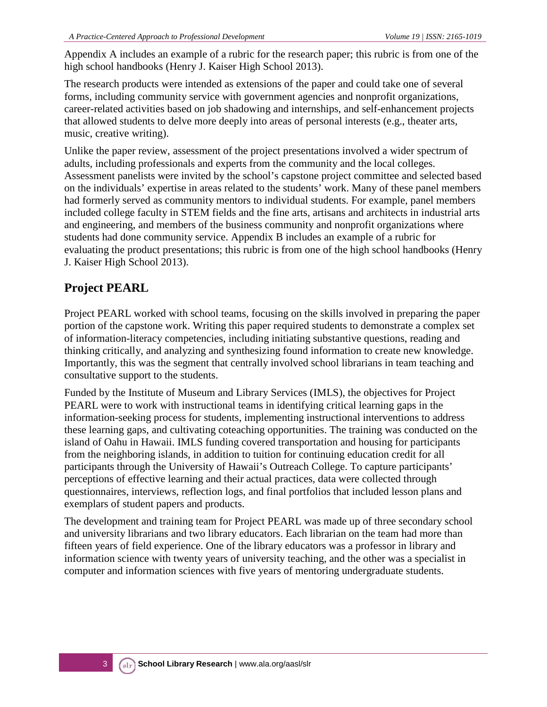Appendix A includes an example of a rubric for the research paper; this rubric is from one of the high school handbooks (Henry J. Kaiser High School 2013).

The research products were intended as extensions of the paper and could take one of several forms, including community service with government agencies and nonprofit organizations, career-related activities based on job shadowing and internships, and self-enhancement projects that allowed students to delve more deeply into areas of personal interests (e.g., theater arts, music, creative writing).

Unlike the paper review, assessment of the project presentations involved a wider spectrum of adults, including professionals and experts from the community and the local colleges. Assessment panelists were invited by the school's capstone project committee and selected based on the individuals' expertise in areas related to the students' work. Many of these panel members had formerly served as community mentors to individual students. For example, panel members included college faculty in STEM fields and the fine arts, artisans and architects in industrial arts and engineering, and members of the business community and nonprofit organizations where students had done community service. Appendix B includes an example of a rubric for evaluating the product presentations; this rubric is from one of the high school handbooks (Henry J. Kaiser High School 2013).

### **Project PEARL**

Project PEARL worked with school teams, focusing on the skills involved in preparing the paper portion of the capstone work. Writing this paper required students to demonstrate a complex set of information-literacy competencies, including initiating substantive questions, reading and thinking critically, and analyzing and synthesizing found information to create new knowledge. Importantly, this was the segment that centrally involved school librarians in team teaching and consultative support to the students.

Funded by the Institute of Museum and Library Services (IMLS), the objectives for Project PEARL were to work with instructional teams in identifying critical learning gaps in the information-seeking process for students, implementing instructional interventions to address these learning gaps, and cultivating coteaching opportunities. The training was conducted on the island of Oahu in Hawaii. IMLS funding covered transportation and housing for participants from the neighboring islands, in addition to tuition for continuing education credit for all participants through the University of Hawaii's Outreach College. To capture participants' perceptions of effective learning and their actual practices, data were collected through questionnaires, interviews, reflection logs, and final portfolios that included lesson plans and exemplars of student papers and products.

The development and training team for Project PEARL was made up of three secondary school and university librarians and two library educators. Each librarian on the team had more than fifteen years of field experience. One of the library educators was a professor in library and information science with twenty years of university teaching, and the other was a specialist in computer and information sciences with five years of mentoring undergraduate students.

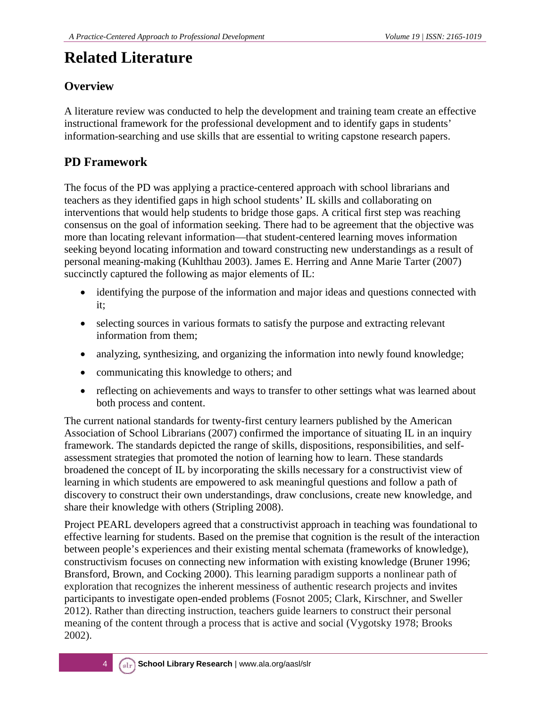### **Related Literature**

### **Overview**

A literature review was conducted to help the development and training team create an effective instructional framework for the professional development and to identify gaps in students' information-searching and use skills that are essential to writing capstone research papers.

### **PD Framework**

The focus of the PD was applying a practice-centered approach with school librarians and teachers as they identified gaps in high school students' IL skills and collaborating on interventions that would help students to bridge those gaps. A critical first step was reaching consensus on the goal of information seeking. There had to be agreement that the objective was more than locating relevant information—that student-centered learning moves information seeking beyond locating information and toward constructing new understandings as a result of personal meaning-making (Kuhlthau 2003). James E. Herring and Anne Marie Tarter (2007) succinctly captured the following as major elements of IL:

- identifying the purpose of the information and major ideas and questions connected with it;
- selecting sources in various formats to satisfy the purpose and extracting relevant information from them;
- analyzing, synthesizing, and organizing the information into newly found knowledge;
- communicating this knowledge to others; and
- reflecting on achievements and ways to transfer to other settings what was learned about both process and content.

The current national standards for twenty-first century learners published by the American Association of School Librarians (2007) confirmed the importance of situating IL in an inquiry framework. The standards depicted the range of skills, dispositions, responsibilities, and selfassessment strategies that promoted the notion of learning how to learn. These standards broadened the concept of IL by incorporating the skills necessary for a constructivist view of learning in which students are empowered to ask meaningful questions and follow a path of discovery to construct their own understandings, draw conclusions, create new knowledge, and share their knowledge with others (Stripling 2008).

Project PEARL developers agreed that a constructivist approach in teaching was foundational to effective learning for students. Based on the premise that cognition is the result of the interaction between people's experiences and their existing mental schemata (frameworks of knowledge), constructivism focuses on connecting new information with existing knowledge (Bruner 1996; Bransford, Brown, and Cocking 2000). This learning paradigm supports a nonlinear path of exploration that recognizes the inherent messiness of authentic research projects and invites participants to investigate open-ended problems (Fosnot 2005; Clark, Kirschner, and Sweller 2012). Rather than directing instruction, teachers guide learners to construct their personal meaning of the content through a process that is active and social (Vygotsky 1978; Brooks 2002).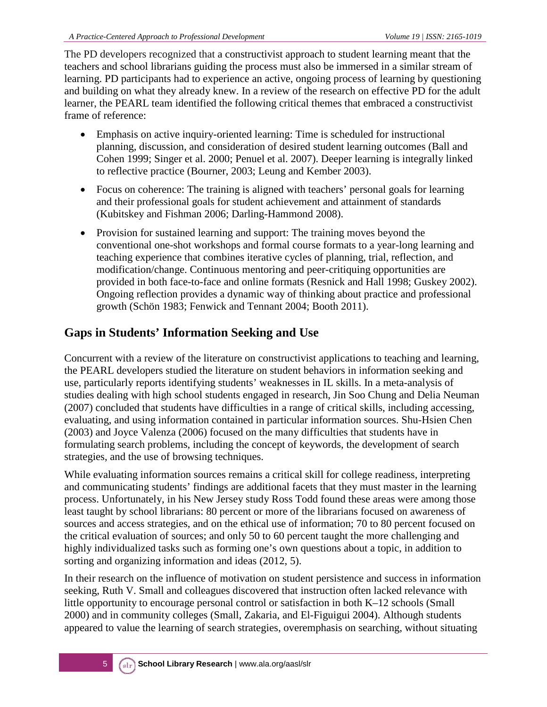The PD developers recognized that a constructivist approach to student learning meant that the teachers and school librarians guiding the process must also be immersed in a similar stream of learning. PD participants had to experience an active, ongoing process of learning by questioning and building on what they already knew. In a review of the research on effective PD for the adult learner, the PEARL team identified the following critical themes that embraced a constructivist frame of reference:

- Emphasis on active inquiry-oriented learning: Time is scheduled for instructional planning, discussion, and consideration of desired student learning outcomes (Ball and Cohen 1999; Singer et al. 2000; Penuel et al. 2007). Deeper learning is integrally linked to reflective practice (Bourner, 2003; Leung and Kember 2003).
- Focus on coherence: The training is aligned with teachers' personal goals for learning and their professional goals for student achievement and attainment of standards (Kubitskey and Fishman 2006; Darling-Hammond 2008).
- Provision for sustained learning and support: The training moves beyond the conventional one-shot workshops and formal course formats to a year-long learning and teaching experience that combines iterative cycles of planning, trial, reflection, and modification/change. Continuous mentoring and peer-critiquing opportunities are provided in both face-to-face and online formats (Resnick and Hall 1998; Guskey 2002). Ongoing reflection provides a dynamic way of thinking about practice and professional growth (Schön 1983; Fenwick and Tennant 2004; Booth 2011).

### **Gaps in Students' Information Seeking and Use**

Concurrent with a review of the literature on constructivist applications to teaching and learning, the PEARL developers studied the literature on student behaviors in information seeking and use, particularly reports identifying students' weaknesses in IL skills. In a meta-analysis of studies dealing with high school students engaged in research, Jin Soo Chung and Delia Neuman (2007) concluded that students have difficulties in a range of critical skills, including accessing, evaluating, and using information contained in particular information sources. Shu-Hsien Chen (2003) and Joyce Valenza (2006) focused on the many difficulties that students have in formulating search problems, including the concept of keywords, the development of search strategies, and the use of browsing techniques.

While evaluating information sources remains a critical skill for college readiness, interpreting and communicating students' findings are additional facets that they must master in the learning process. Unfortunately, in his New Jersey study Ross Todd found these areas were among those least taught by school librarians: 80 percent or more of the librarians focused on awareness of sources and access strategies, and on the ethical use of information; 70 to 80 percent focused on the critical evaluation of sources; and only 50 to 60 percent taught the more challenging and highly individualized tasks such as forming one's own questions about a topic, in addition to sorting and organizing information and ideas (2012, 5).

In their research on the influence of motivation on student persistence and success in information seeking, Ruth V. Small and colleagues discovered that instruction often lacked relevance with little opportunity to encourage personal control or satisfaction in both K–12 schools (Small 2000) and in community colleges (Small, Zakaria, and El-Figuigui 2004). Although students appeared to value the learning of search strategies, overemphasis on searching, without situating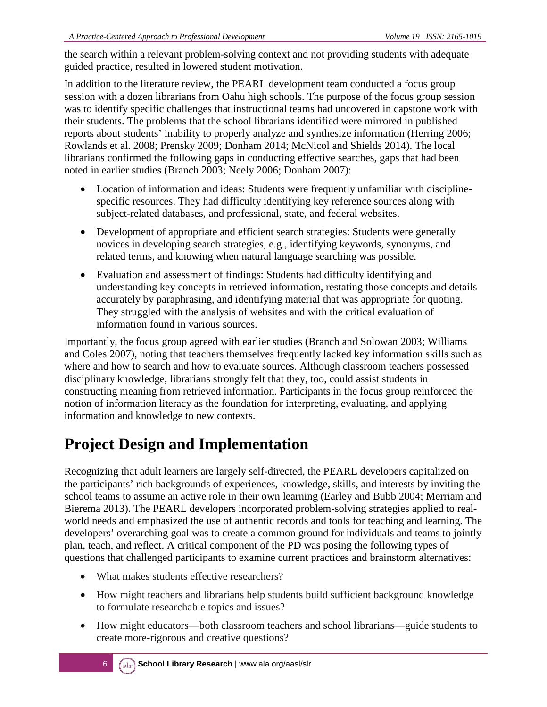the search within a relevant problem-solving context and not providing students with adequate guided practice, resulted in lowered student motivation.

In addition to the literature review, the PEARL development team conducted a focus group session with a dozen librarians from Oahu high schools. The purpose of the focus group session was to identify specific challenges that instructional teams had uncovered in capstone work with their students. The problems that the school librarians identified were mirrored in published reports about students' inability to properly analyze and synthesize information (Herring 2006; Rowlands et al. 2008; Prensky 2009; Donham 2014; McNicol and Shields 2014). The local librarians confirmed the following gaps in conducting effective searches, gaps that had been noted in earlier studies (Branch 2003; Neely 2006; Donham 2007):

- Location of information and ideas: Students were frequently unfamiliar with disciplinespecific resources. They had difficulty identifying key reference sources along with subject-related databases, and professional, state, and federal websites.
- Development of appropriate and efficient search strategies: Students were generally novices in developing search strategies, e.g., identifying keywords, synonyms, and related terms, and knowing when natural language searching was possible.
- Evaluation and assessment of findings: Students had difficulty identifying and understanding key concepts in retrieved information, restating those concepts and details accurately by paraphrasing, and identifying material that was appropriate for quoting. They struggled with the analysis of websites and with the critical evaluation of information found in various sources.

Importantly, the focus group agreed with earlier studies (Branch and Solowan 2003; Williams and Coles 2007), noting that teachers themselves frequently lacked key information skills such as where and how to search and how to evaluate sources. Although classroom teachers possessed disciplinary knowledge, librarians strongly felt that they, too, could assist students in constructing meaning from retrieved information. Participants in the focus group reinforced the notion of information literacy as the foundation for interpreting, evaluating, and applying information and knowledge to new contexts.

## **Project Design and Implementation**

Recognizing that adult learners are largely self-directed, the PEARL developers capitalized on the participants' rich backgrounds of experiences, knowledge, skills, and interests by inviting the school teams to assume an active role in their own learning (Earley and Bubb 2004; Merriam and Bierema 2013). The PEARL developers incorporated problem-solving strategies applied to realworld needs and emphasized the use of authentic records and tools for teaching and learning. The developers' overarching goal was to create a common ground for individuals and teams to jointly plan, teach, and reflect. A critical component of the PD was posing the following types of questions that challenged participants to examine current practices and brainstorm alternatives:

- What makes students effective researchers?
- How might teachers and librarians help students build sufficient background knowledge to formulate researchable topics and issues?
- How might educators—both classroom teachers and school librarians—guide students to create more-rigorous and creative questions?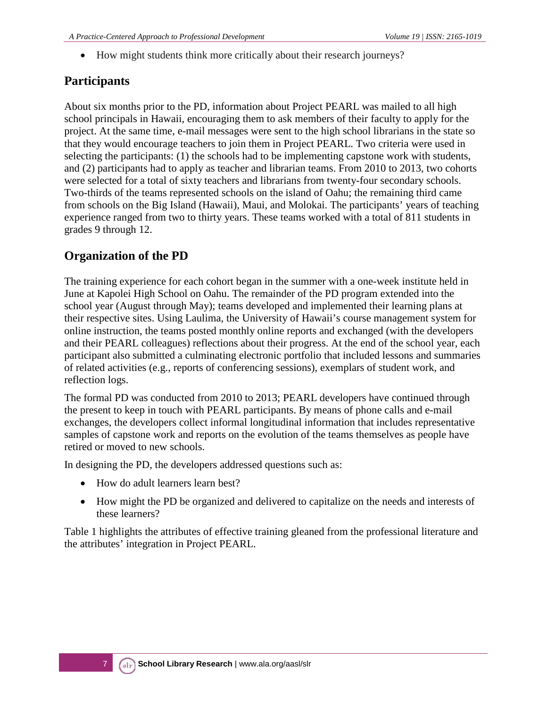• How might students think more critically about their research journeys?

### **Participants**

About six months prior to the PD, information about Project PEARL was mailed to all high school principals in Hawaii, encouraging them to ask members of their faculty to apply for the project. At the same time, e-mail messages were sent to the high school librarians in the state so that they would encourage teachers to join them in Project PEARL. Two criteria were used in selecting the participants: (1) the schools had to be implementing capstone work with students, and (2) participants had to apply as teacher and librarian teams. From 2010 to 2013, two cohorts were selected for a total of sixty teachers and librarians from twenty-four secondary schools. Two-thirds of the teams represented schools on the island of Oahu; the remaining third came from schools on the Big Island (Hawaii), Maui, and Molokai. The participants' years of teaching experience ranged from two to thirty years. These teams worked with a total of 811 students in grades 9 through 12.

### **Organization of the PD**

The training experience for each cohort began in the summer with a one-week institute held in June at Kapolei High School on Oahu. The remainder of the PD program extended into the school year (August through May); teams developed and implemented their learning plans at their respective sites. Using Laulima, the University of Hawaii's course management system for online instruction, the teams posted monthly online reports and exchanged (with the developers and their PEARL colleagues) reflections about their progress. At the end of the school year, each participant also submitted a culminating electronic portfolio that included lessons and summaries of related activities (e.g., reports of conferencing sessions), exemplars of student work, and reflection logs.

The formal PD was conducted from 2010 to 2013; PEARL developers have continued through the present to keep in touch with PEARL participants. By means of phone calls and e-mail exchanges, the developers collect informal longitudinal information that includes representative samples of capstone work and reports on the evolution of the teams themselves as people have retired or moved to new schools.

In designing the PD, the developers addressed questions such as:

- How do adult learners learn best?
- How might the PD be organized and delivered to capitalize on the needs and interests of these learners?

Table 1 highlights the attributes of effective training gleaned from the professional literature and the attributes' integration in Project PEARL.

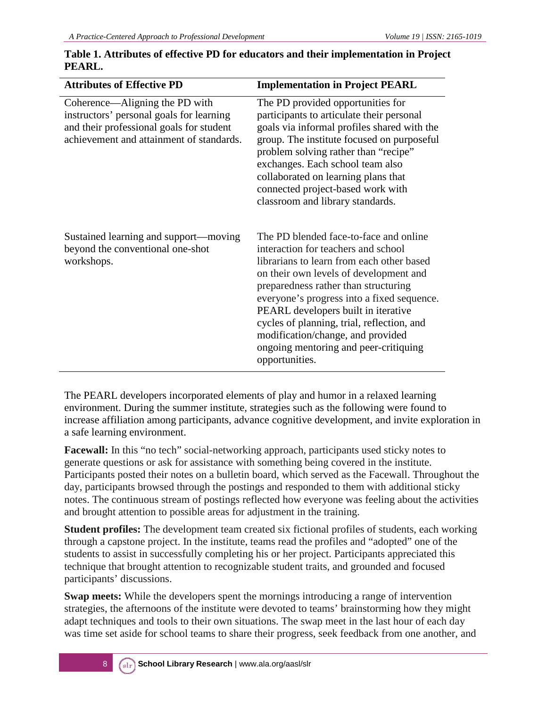| <b>Attributes of Effective PD</b>                                                                                                                                  | <b>Implementation in Project PEARL</b>                                                                                                                                                                                                                                                                                                                                                                                                          |
|--------------------------------------------------------------------------------------------------------------------------------------------------------------------|-------------------------------------------------------------------------------------------------------------------------------------------------------------------------------------------------------------------------------------------------------------------------------------------------------------------------------------------------------------------------------------------------------------------------------------------------|
| Coherence—Aligning the PD with<br>instructors' personal goals for learning<br>and their professional goals for student<br>achievement and attainment of standards. | The PD provided opportunities for<br>participants to articulate their personal<br>goals via informal profiles shared with the<br>group. The institute focused on purposeful<br>problem solving rather than "recipe"<br>exchanges. Each school team also<br>collaborated on learning plans that<br>connected project-based work with<br>classroom and library standards.                                                                         |
| Sustained learning and support—moving<br>beyond the conventional one-shot<br>workshops.                                                                            | The PD blended face-to-face and online<br>interaction for teachers and school<br>librarians to learn from each other based<br>on their own levels of development and<br>preparedness rather than structuring<br>everyone's progress into a fixed sequence.<br>PEARL developers built in iterative<br>cycles of planning, trial, reflection, and<br>modification/change, and provided<br>ongoing mentoring and peer-critiquing<br>opportunities. |

#### **Table 1. Attributes of effective PD for educators and their implementation in Project PEARL.**

The PEARL developers incorporated elements of play and humor in a relaxed learning environment. During the summer institute, strategies such as the following were found to increase affiliation among participants, advance cognitive development, and invite exploration in a safe learning environment.

**Facewall:** In this "no tech" social-networking approach, participants used sticky notes to generate questions or ask for assistance with something being covered in the institute. Participants posted their notes on a bulletin board, which served as the Facewall. Throughout the day, participants browsed through the postings and responded to them with additional sticky notes. The continuous stream of postings reflected how everyone was feeling about the activities and brought attention to possible areas for adjustment in the training.

**Student profiles:** The development team created six fictional profiles of students, each working through a capstone project. In the institute, teams read the profiles and "adopted" one of the students to assist in successfully completing his or her project. Participants appreciated this technique that brought attention to recognizable student traits, and grounded and focused participants' discussions.

**Swap meets:** While the developers spent the mornings introducing a range of intervention strategies, the afternoons of the institute were devoted to teams' brainstorming how they might adapt techniques and tools to their own situations. The swap meet in the last hour of each day was time set aside for school teams to share their progress, seek feedback from one another, and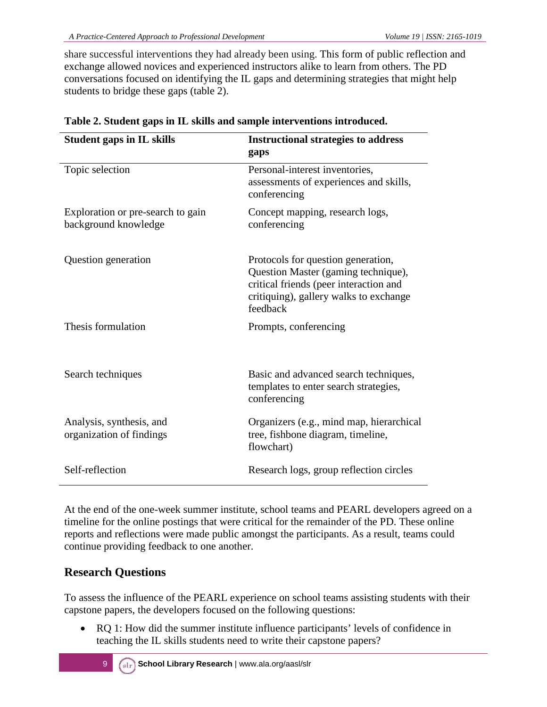share successful interventions they had already been using. This form of public reflection and exchange allowed novices and experienced instructors alike to learn from others. The PD conversations focused on identifying the IL gaps and determining strategies that might help students to bridge these gaps (table 2).

| <b>Student gaps in IL skills</b>                          | <b>Instructional strategies to address</b><br>gaps                                                                                                                        |
|-----------------------------------------------------------|---------------------------------------------------------------------------------------------------------------------------------------------------------------------------|
| Topic selection                                           | Personal-interest inventories,<br>assessments of experiences and skills,<br>conferencing                                                                                  |
| Exploration or pre-search to gain<br>background knowledge | Concept mapping, research logs,<br>conferencing                                                                                                                           |
| Question generation                                       | Protocols for question generation,<br>Question Master (gaming technique),<br>critical friends (peer interaction and<br>critiquing), gallery walks to exchange<br>feedback |
| Thesis formulation                                        | Prompts, conferencing                                                                                                                                                     |
| Search techniques                                         | Basic and advanced search techniques,<br>templates to enter search strategies,<br>conferencing                                                                            |
| Analysis, synthesis, and<br>organization of findings      | Organizers (e.g., mind map, hierarchical<br>tree, fishbone diagram, timeline,<br>flowchart)                                                                               |
| Self-reflection                                           | Research logs, group reflection circles                                                                                                                                   |

| Table 2. Student gaps in IL skills and sample interventions introduced. |  |
|-------------------------------------------------------------------------|--|
|-------------------------------------------------------------------------|--|

At the end of the one-week summer institute, school teams and PEARL developers agreed on a timeline for the online postings that were critical for the remainder of the PD. These online reports and reflections were made public amongst the participants. As a result, teams could continue providing feedback to one another.

### **Research Questions**

To assess the influence of the PEARL experience on school teams assisting students with their capstone papers, the developers focused on the following questions:

• RQ 1: How did the summer institute influence participants' levels of confidence in teaching the IL skills students need to write their capstone papers?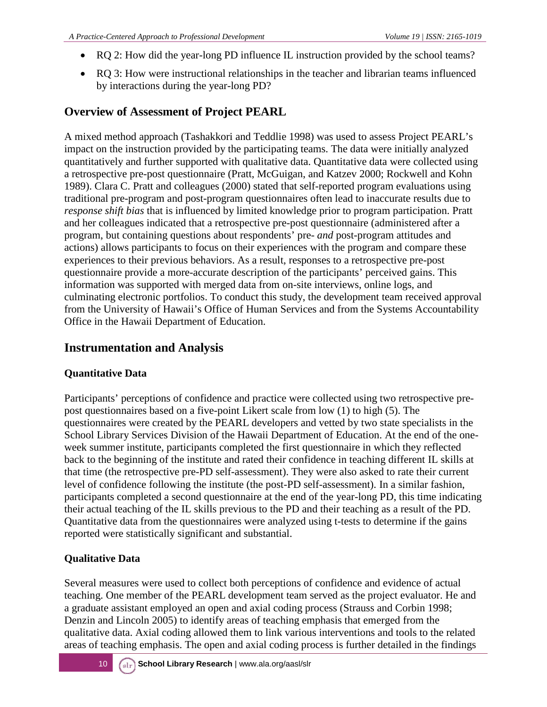- RO 2: How did the year-long PD influence IL instruction provided by the school teams?
- RQ 3: How were instructional relationships in the teacher and librarian teams influenced by interactions during the year-long PD?

#### **Overview of Assessment of Project PEARL**

A mixed method approach (Tashakkori and Teddlie 1998) was used to assess Project PEARL's impact on the instruction provided by the participating teams. The data were initially analyzed quantitatively and further supported with qualitative data. Quantitative data were collected using a retrospective pre-post questionnaire (Pratt, McGuigan, and Katzev 2000; Rockwell and Kohn 1989). Clara C. Pratt and colleagues (2000) stated that self-reported program evaluations using traditional pre-program and post-program questionnaires often lead to inaccurate results due to *response shift bias* that is influenced by limited knowledge prior to program participation. Pratt and her colleagues indicated that a retrospective pre-post questionnaire (administered after a program, but containing questions about respondents' pre- *and* post-program attitudes and actions) allows participants to focus on their experiences with the program and compare these experiences to their previous behaviors. As a result, responses to a retrospective pre-post questionnaire provide a more-accurate description of the participants' perceived gains. This information was supported with merged data from on-site interviews, online logs, and culminating electronic portfolios. To conduct this study, the development team received approval from the University of Hawaii's Office of Human Services and from the Systems Accountability Office in the Hawaii Department of Education.

### **Instrumentation and Analysis**

#### **Quantitative Data**

Participants' perceptions of confidence and practice were collected using two retrospective prepost questionnaires based on a five-point Likert scale from low (1) to high (5). The questionnaires were created by the PEARL developers and vetted by two state specialists in the School Library Services Division of the Hawaii Department of Education. At the end of the oneweek summer institute, participants completed the first questionnaire in which they reflected back to the beginning of the institute and rated their confidence in teaching different IL skills at that time (the retrospective pre-PD self-assessment). They were also asked to rate their current level of confidence following the institute (the post-PD self-assessment). In a similar fashion, participants completed a second questionnaire at the end of the year-long PD, this time indicating their actual teaching of the IL skills previous to the PD and their teaching as a result of the PD. Quantitative data from the questionnaires were analyzed using t-tests to determine if the gains reported were statistically significant and substantial.

#### **Qualitative Data**

Several measures were used to collect both perceptions of confidence and evidence of actual teaching. One member of the PEARL development team served as the project evaluator. He and a graduate assistant employed an open and axial coding process (Strauss and Corbin 1998; Denzin and Lincoln 2005) to identify areas of teaching emphasis that emerged from the qualitative data. Axial coding allowed them to link various interventions and tools to the related areas of teaching emphasis. The open and axial coding process is further detailed in the findings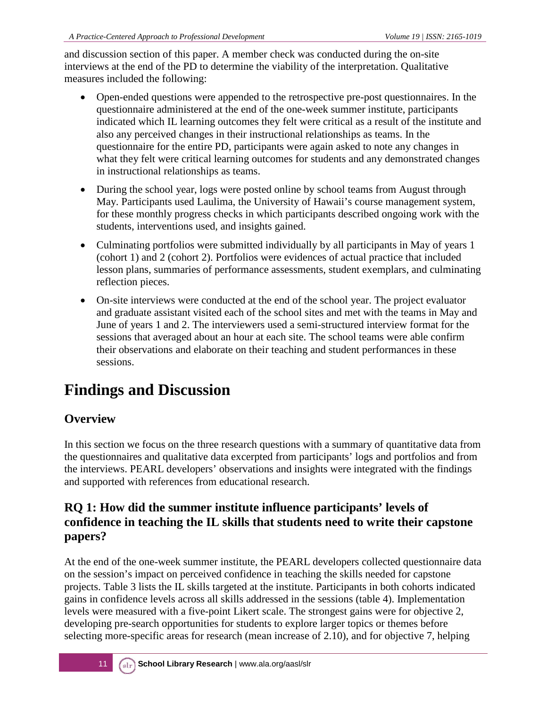and discussion section of this paper. A member check was conducted during the on-site interviews at the end of the PD to determine the viability of the interpretation. Qualitative measures included the following:

- Open-ended questions were appended to the retrospective pre-post questionnaires. In the questionnaire administered at the end of the one-week summer institute, participants indicated which IL learning outcomes they felt were critical as a result of the institute and also any perceived changes in their instructional relationships as teams. In the questionnaire for the entire PD, participants were again asked to note any changes in what they felt were critical learning outcomes for students and any demonstrated changes in instructional relationships as teams.
- During the school year, logs were posted online by school teams from August through May. Participants used Laulima, the University of Hawaii's course management system, for these monthly progress checks in which participants described ongoing work with the students, interventions used, and insights gained.
- Culminating portfolios were submitted individually by all participants in May of years 1 (cohort 1) and 2 (cohort 2). Portfolios were evidences of actual practice that included lesson plans, summaries of performance assessments, student exemplars, and culminating reflection pieces.
- On-site interviews were conducted at the end of the school year. The project evaluator and graduate assistant visited each of the school sites and met with the teams in May and June of years 1 and 2. The interviewers used a semi-structured interview format for the sessions that averaged about an hour at each site. The school teams were able confirm their observations and elaborate on their teaching and student performances in these sessions.

## **Findings and Discussion**

### **Overview**

In this section we focus on the three research questions with a summary of quantitative data from the questionnaires and qualitative data excerpted from participants' logs and portfolios and from the interviews. PEARL developers' observations and insights were integrated with the findings and supported with references from educational research.

### **RQ 1: How did the summer institute influence participants' levels of confidence in teaching the IL skills that students need to write their capstone papers?**

At the end of the one-week summer institute, the PEARL developers collected questionnaire data on the session's impact on perceived confidence in teaching the skills needed for capstone projects. Table 3 lists the IL skills targeted at the institute. Participants in both cohorts indicated gains in confidence levels across all skills addressed in the sessions (table 4). Implementation levels were measured with a five-point Likert scale. The strongest gains were for objective 2, developing pre-search opportunities for students to explore larger topics or themes before selecting more-specific areas for research (mean increase of 2.10), and for objective 7, helping

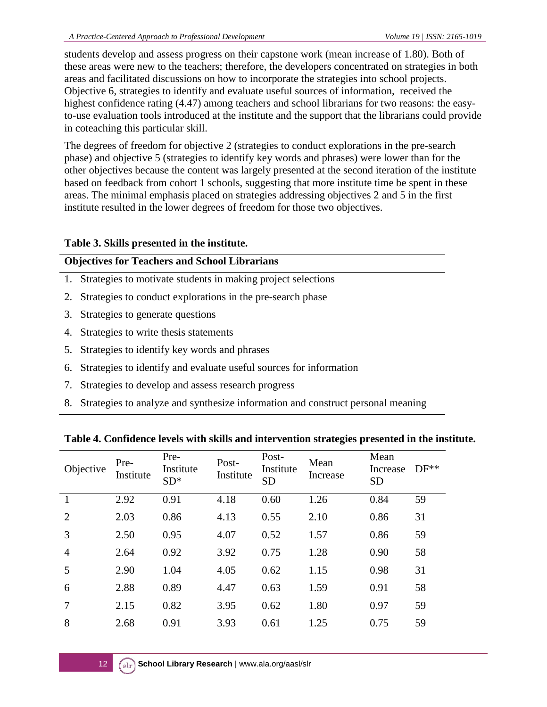students develop and assess progress on their capstone work (mean increase of 1.80). Both of these areas were new to the teachers; therefore, the developers concentrated on strategies in both areas and facilitated discussions on how to incorporate the strategies into school projects. Objective 6, strategies to identify and evaluate useful sources of information, received the highest confidence rating (4.47) among teachers and school librarians for two reasons: the easyto-use evaluation tools introduced at the institute and the support that the librarians could provide in coteaching this particular skill.

The degrees of freedom for objective 2 (strategies to conduct explorations in the pre-search phase) and objective 5 (strategies to identify key words and phrases) were lower than for the other objectives because the content was largely presented at the second iteration of the institute based on feedback from cohort 1 schools, suggesting that more institute time be spent in these areas. The minimal emphasis placed on strategies addressing objectives 2 and 5 in the first institute resulted in the lower degrees of freedom for those two objectives.

#### **Table 3. Skills presented in the institute.**

#### **Objectives for Teachers and School Librarians**

- 1.Strategies to motivate students in making project selections
- 2. Strategies to conduct explorations in the pre-search phase
- 3.Strategies to generate questions
- 4.Strategies to write thesis statements
- 5.Strategies to identify key words and phrases
- 6.Strategies to identify and evaluate useful sources for information
- 7.Strategies to develop and assess research progress
- 8. Strategies to analyze and synthesize information and construct personal meaning

#### **Table 4. Confidence levels with skills and intervention strategies presented in the institute.**

| Objective      | Pre-<br>Institute | Pre-<br>Institute<br>$SD*$ | Post-<br>Institute | Post-<br>Institute<br><b>SD</b> | Mean<br>Increase | Mean<br>Increase<br><b>SD</b> | $DF**$ |
|----------------|-------------------|----------------------------|--------------------|---------------------------------|------------------|-------------------------------|--------|
|                | 2.92              | 0.91                       | 4.18               | 0.60                            | 1.26             | 0.84                          | 59     |
| 2              | 2.03              | 0.86                       | 4.13               | 0.55                            | 2.10             | 0.86                          | 31     |
| 3              | 2.50              | 0.95                       | 4.07               | 0.52                            | 1.57             | 0.86                          | 59     |
| $\overline{4}$ | 2.64              | 0.92                       | 3.92               | 0.75                            | 1.28             | 0.90                          | 58     |
| 5              | 2.90              | 1.04                       | 4.05               | 0.62                            | 1.15             | 0.98                          | 31     |
| 6              | 2.88              | 0.89                       | 4.47               | 0.63                            | 1.59             | 0.91                          | 58     |
| 7              | 2.15              | 0.82                       | 3.95               | 0.62                            | 1.80             | 0.97                          | 59     |
| 8              | 2.68              | 0.91                       | 3.93               | 0.61                            | 1.25             | 0.75                          | 59     |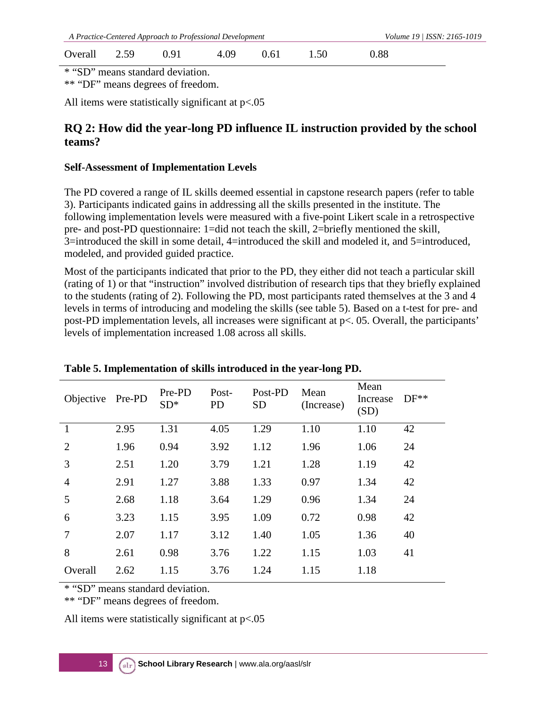| A Practice-Centered Approach to Professional Development |  |      |      |      |      |      | Volume 19 / ISSN: 2165-1019 |
|----------------------------------------------------------|--|------|------|------|------|------|-----------------------------|
| Overall 2.59                                             |  | 0.91 | 4.09 | 0.61 | 1.50 | 0.88 |                             |

\* "SD" means standard deviation.

\*\* "DF" means degrees of freedom.

All items were statistically significant at  $p<0.05$ 

#### **RQ 2: How did the year-long PD influence IL instruction provided by the school teams?**

#### **Self-Assessment of Implementation Levels**

The PD covered a range of IL skills deemed essential in capstone research papers (refer to table 3). Participants indicated gains in addressing all the skills presented in the institute. The following implementation levels were measured with a five-point Likert scale in a retrospective pre- and post-PD questionnaire: 1=did not teach the skill, 2=briefly mentioned the skill, 3=introduced the skill in some detail, 4=introduced the skill and modeled it, and 5=introduced, modeled, and provided guided practice.

Most of the participants indicated that prior to the PD, they either did not teach a particular skill (rating of 1) or that "instruction" involved distribution of research tips that they briefly explained to the students (rating of 2). Following the PD, most participants rated themselves at the 3 and 4 levels in terms of introducing and modeling the skills (see table 5). Based on a t-test for pre- and post-PD implementation levels, all increases were significant at p<. 05. Overall, the participants' levels of implementation increased 1.08 across all skills.

| Objective Pre-PD |      | Pre-PD<br>$SD*$ | Post-<br><b>PD</b> | Post-PD<br><b>SD</b> | Mean<br>(Increase) | Mean<br>Increase<br>(SD) | $DF**$ |
|------------------|------|-----------------|--------------------|----------------------|--------------------|--------------------------|--------|
| $\mathbf{1}$     | 2.95 | 1.31            | 4.05               | 1.29                 | 1.10               | 1.10                     | 42     |
| 2                | 1.96 | 0.94            | 3.92               | 1.12                 | 1.96               | 1.06                     | 24     |
| 3                | 2.51 | 1.20            | 3.79               | 1.21                 | 1.28               | 1.19                     | 42     |
| $\overline{4}$   | 2.91 | 1.27            | 3.88               | 1.33                 | 0.97               | 1.34                     | 42     |
| 5                | 2.68 | 1.18            | 3.64               | 1.29                 | 0.96               | 1.34                     | 24     |
| 6                | 3.23 | 1.15            | 3.95               | 1.09                 | 0.72               | 0.98                     | 42     |
| $\overline{7}$   | 2.07 | 1.17            | 3.12               | 1.40                 | 1.05               | 1.36                     | 40     |
| 8                | 2.61 | 0.98            | 3.76               | 1.22                 | 1.15               | 1.03                     | 41     |
| Overall          | 2.62 | 1.15            | 3.76               | 1.24                 | 1.15               | 1.18                     |        |

**Table 5. Implementation of skills introduced in the year-long PD.**

\* "SD" means standard deviation.

\*\* "DF" means degrees of freedom.

All items were statistically significant at  $p<0.05$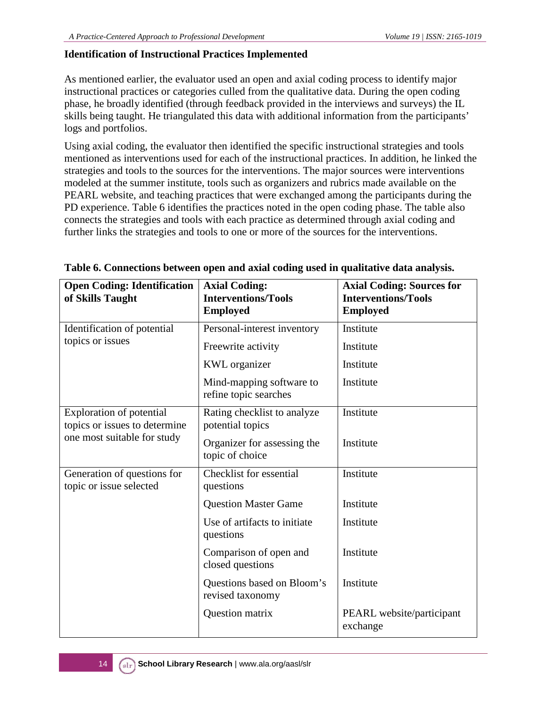#### **Identification of Instructional Practices Implemented**

As mentioned earlier, the evaluator used an open and axial coding process to identify major instructional practices or categories culled from the qualitative data. During the open coding phase, he broadly identified (through feedback provided in the interviews and surveys) the IL skills being taught. He triangulated this data with additional information from the participants' logs and portfolios.

Using axial coding, the evaluator then identified the specific instructional strategies and tools mentioned as interventions used for each of the instructional practices. In addition, he linked the strategies and tools to the sources for the interventions. The major sources were interventions modeled at the summer institute, tools such as organizers and rubrics made available on the PEARL website, and teaching practices that were exchanged among the participants during the PD experience. Table 6 identifies the practices noted in the open coding phase. The table also connects the strategies and tools with each practice as determined through axial coding and further links the strategies and tools to one or more of the sources for the interventions.

| <b>Open Coding: Identification</b><br>of Skills Taught                                          | <b>Axial Coding:</b><br><b>Interventions/Tools</b><br><b>Employed</b> | <b>Axial Coding: Sources for</b><br><b>Interventions/Tools</b><br><b>Employed</b> |
|-------------------------------------------------------------------------------------------------|-----------------------------------------------------------------------|-----------------------------------------------------------------------------------|
| Identification of potential                                                                     | Personal-interest inventory                                           | Institute                                                                         |
| topics or issues                                                                                | Freewrite activity                                                    | Institute                                                                         |
|                                                                                                 | <b>KWL</b> organizer                                                  | Institute                                                                         |
|                                                                                                 | Mind-mapping software to<br>refine topic searches                     | Institute                                                                         |
| <b>Exploration of potential</b><br>topics or issues to determine<br>one most suitable for study | Rating checklist to analyze<br>potential topics                       | Institute                                                                         |
|                                                                                                 | Organizer for assessing the<br>topic of choice                        | Institute                                                                         |
| Generation of questions for<br>topic or issue selected                                          | <b>Checklist</b> for essential<br>questions                           | Institute                                                                         |
|                                                                                                 | <b>Question Master Game</b>                                           | Institute                                                                         |
|                                                                                                 | Use of artifacts to initiate<br>questions                             | Institute                                                                         |
|                                                                                                 | Comparison of open and<br>closed questions                            | Institute                                                                         |
|                                                                                                 | Questions based on Bloom's<br>revised taxonomy                        | Institute                                                                         |
|                                                                                                 | Question matrix                                                       | PEARL website/participant<br>exchange                                             |

#### **Table 6. Connections between open and axial coding used in qualitative data analysis.**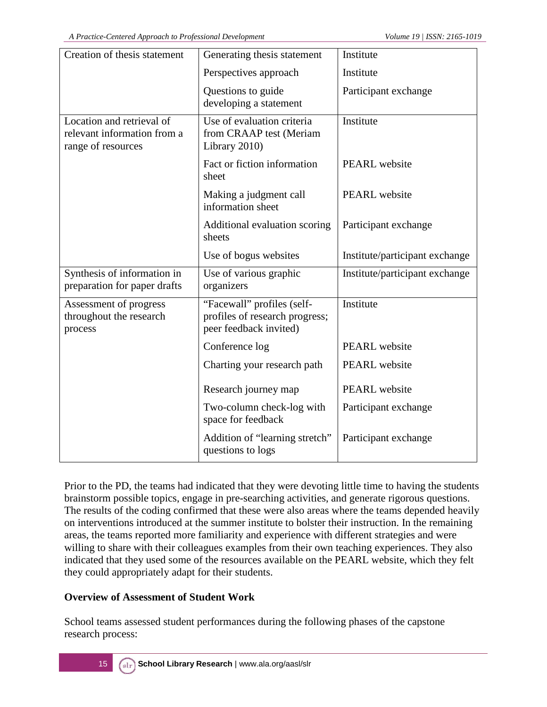| Creation of thesis statement                                                   | Generating thesis statement                                                            | Institute                      |
|--------------------------------------------------------------------------------|----------------------------------------------------------------------------------------|--------------------------------|
|                                                                                | Perspectives approach                                                                  | Institute                      |
|                                                                                | Questions to guide<br>developing a statement                                           | Participant exchange           |
| Location and retrieval of<br>relevant information from a<br>range of resources | Use of evaluation criteria<br>from CRAAP test (Meriam<br>Library 2010)                 | Institute                      |
|                                                                                | Fact or fiction information<br>sheet                                                   | PEARL website                  |
|                                                                                | Making a judgment call<br>information sheet                                            | PEARL website                  |
|                                                                                | Additional evaluation scoring<br>sheets                                                | Participant exchange           |
|                                                                                | Use of bogus websites                                                                  | Institute/participant exchange |
| Synthesis of information in<br>preparation for paper drafts                    | Use of various graphic<br>organizers                                                   | Institute/participant exchange |
| Assessment of progress<br>throughout the research<br>process                   | "Facewall" profiles (self-<br>profiles of research progress;<br>peer feedback invited) | Institute                      |
|                                                                                | Conference log                                                                         | <b>PEARL</b> website           |
|                                                                                | Charting your research path                                                            | PEARL website                  |
|                                                                                | Research journey map                                                                   | PEARL website                  |
|                                                                                | Two-column check-log with<br>space for feedback                                        | Participant exchange           |
|                                                                                | Addition of "learning stretch"<br>questions to logs                                    | Participant exchange           |

Prior to the PD, the teams had indicated that they were devoting little time to having the students brainstorm possible topics, engage in pre-searching activities, and generate rigorous questions. The results of the coding confirmed that these were also areas where the teams depended heavily on interventions introduced at the summer institute to bolster their instruction. In the remaining areas, the teams reported more familiarity and experience with different strategies and were willing to share with their colleagues examples from their own teaching experiences. They also indicated that they used some of the resources available on the PEARL website, which they felt they could appropriately adapt for their students.

#### **Overview of Assessment of Student Work**

School teams assessed student performances during the following phases of the capstone research process: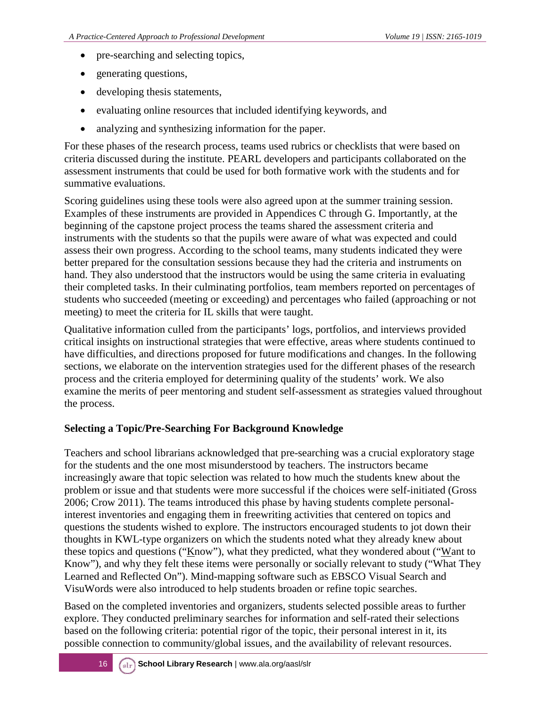- pre-searching and selecting topics,
- generating questions,
- developing thesis statements,
- evaluating online resources that included identifying keywords, and
- analyzing and synthesizing information for the paper.

For these phases of the research process, teams used rubrics or checklists that were based on criteria discussed during the institute. PEARL developers and participants collaborated on the assessment instruments that could be used for both formative work with the students and for summative evaluations.

Scoring guidelines using these tools were also agreed upon at the summer training session. Examples of these instruments are provided in Appendices C through G. Importantly, at the beginning of the capstone project process the teams shared the assessment criteria and instruments with the students so that the pupils were aware of what was expected and could assess their own progress. According to the school teams, many students indicated they were better prepared for the consultation sessions because they had the criteria and instruments on hand. They also understood that the instructors would be using the same criteria in evaluating their completed tasks. In their culminating portfolios, team members reported on percentages of students who succeeded (meeting or exceeding) and percentages who failed (approaching or not meeting) to meet the criteria for IL skills that were taught.

Qualitative information culled from the participants' logs, portfolios, and interviews provided critical insights on instructional strategies that were effective, areas where students continued to have difficulties, and directions proposed for future modifications and changes. In the following sections, we elaborate on the intervention strategies used for the different phases of the research process and the criteria employed for determining quality of the students' work. We also examine the merits of peer mentoring and student self-assessment as strategies valued throughout the process.

#### **Selecting a Topic/Pre-Searching For Background Knowledge**

Teachers and school librarians acknowledged that pre-searching was a crucial exploratory stage for the students and the one most misunderstood by teachers. The instructors became increasingly aware that topic selection was related to how much the students knew about the problem or issue and that students were more successful if the choices were self-initiated (Gross 2006; Crow 2011). The teams introduced this phase by having students complete personalinterest inventories and engaging them in freewriting activities that centered on topics and questions the students wished to explore. The instructors encouraged students to jot down their thoughts in KWL-type organizers on which the students noted what they already knew about these topics and questions ("Know"), what they predicted, what they wondered about ("Want to Know"), and why they felt these items were personally or socially relevant to study ("What They Learned and Reflected On"). Mind-mapping software such as EBSCO Visual Search and VisuWords were also introduced to help students broaden or refine topic searches.

Based on the completed inventories and organizers, students selected possible areas to further explore. They conducted preliminary searches for information and self-rated their selections based on the following criteria: potential rigor of the topic, their personal interest in it, its possible connection to community/global issues, and the availability of relevant resources.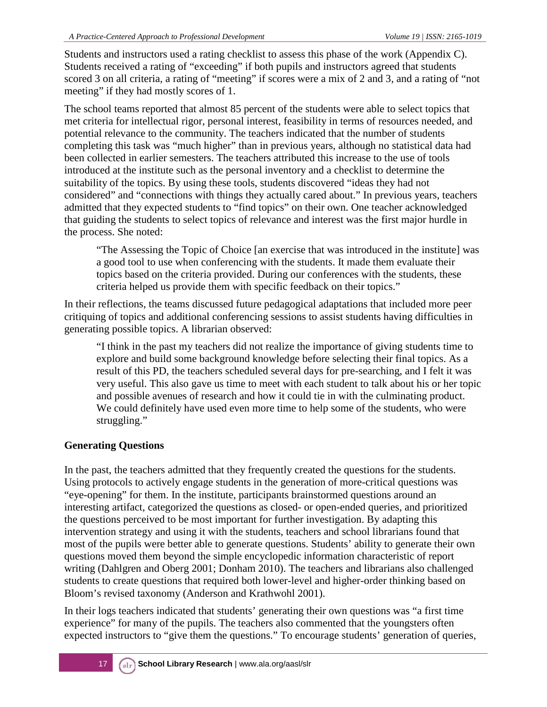Students and instructors used a rating checklist to assess this phase of the work (Appendix C). Students received a rating of "exceeding" if both pupils and instructors agreed that students scored 3 on all criteria, a rating of "meeting" if scores were a mix of 2 and 3, and a rating of "not meeting" if they had mostly scores of 1.

The school teams reported that almost 85 percent of the students were able to select topics that met criteria for intellectual rigor, personal interest, feasibility in terms of resources needed, and potential relevance to the community. The teachers indicated that the number of students completing this task was "much higher" than in previous years, although no statistical data had been collected in earlier semesters. The teachers attributed this increase to the use of tools introduced at the institute such as the personal inventory and a checklist to determine the suitability of the topics. By using these tools, students discovered "ideas they had not considered" and "connections with things they actually cared about." In previous years, teachers admitted that they expected students to "find topics" on their own. One teacher acknowledged that guiding the students to select topics of relevance and interest was the first major hurdle in the process. She noted:

"The Assessing the Topic of Choice [an exercise that was introduced in the institute] was a good tool to use when conferencing with the students. It made them evaluate their topics based on the criteria provided. During our conferences with the students, these criteria helped us provide them with specific feedback on their topics."

In their reflections, the teams discussed future pedagogical adaptations that included more peer critiquing of topics and additional conferencing sessions to assist students having difficulties in generating possible topics. A librarian observed:

"I think in the past my teachers did not realize the importance of giving students time to explore and build some background knowledge before selecting their final topics. As a result of this PD, the teachers scheduled several days for pre-searching, and I felt it was very useful. This also gave us time to meet with each student to talk about his or her topic and possible avenues of research and how it could tie in with the culminating product. We could definitely have used even more time to help some of the students, who were struggling."

#### **Generating Questions**

In the past, the teachers admitted that they frequently created the questions for the students. Using protocols to actively engage students in the generation of more-critical questions was "eye-opening" for them. In the institute, participants brainstormed questions around an interesting artifact, categorized the questions as closed- or open-ended queries, and prioritized the questions perceived to be most important for further investigation. By adapting this intervention strategy and using it with the students, teachers and school librarians found that most of the pupils were better able to generate questions. Students' ability to generate their own questions moved them beyond the simple encyclopedic information characteristic of report writing (Dahlgren and Oberg 2001; Donham 2010). The teachers and librarians also challenged students to create questions that required both lower-level and higher-order thinking based on Bloom's revised taxonomy (Anderson and Krathwohl 2001).

In their logs teachers indicated that students' generating their own questions was "a first time experience" for many of the pupils. The teachers also commented that the youngsters often expected instructors to "give them the questions." To encourage students' generation of queries,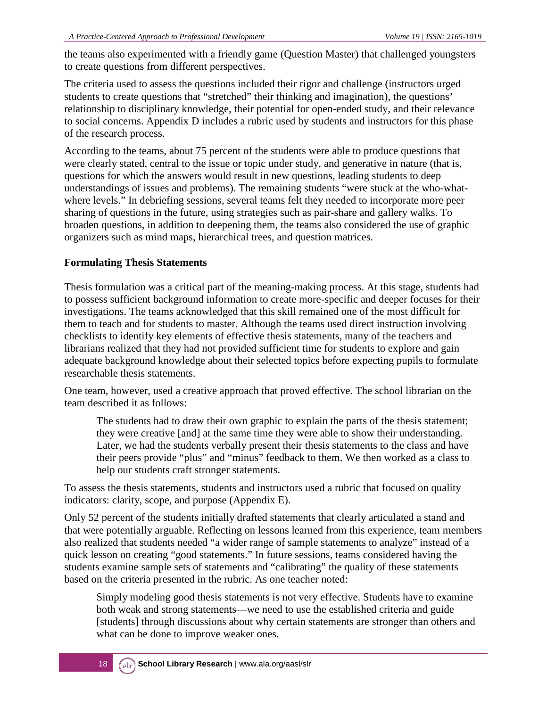the teams also experimented with a friendly game (Question Master) that challenged youngsters to create questions from different perspectives.

The criteria used to assess the questions included their rigor and challenge (instructors urged students to create questions that "stretched" their thinking and imagination), the questions' relationship to disciplinary knowledge, their potential for open-ended study, and their relevance to social concerns. Appendix D includes a rubric used by students and instructors for this phase of the research process.

According to the teams, about 75 percent of the students were able to produce questions that were clearly stated, central to the issue or topic under study, and generative in nature (that is, questions for which the answers would result in new questions, leading students to deep understandings of issues and problems). The remaining students "were stuck at the who-whatwhere levels." In debriefing sessions, several teams felt they needed to incorporate more peer sharing of questions in the future, using strategies such as pair-share and gallery walks. To broaden questions, in addition to deepening them, the teams also considered the use of graphic organizers such as mind maps, hierarchical trees, and question matrices.

#### **Formulating Thesis Statements**

Thesis formulation was a critical part of the meaning-making process. At this stage, students had to possess sufficient background information to create more-specific and deeper focuses for their investigations. The teams acknowledged that this skill remained one of the most difficult for them to teach and for students to master. Although the teams used direct instruction involving checklists to identify key elements of effective thesis statements, many of the teachers and librarians realized that they had not provided sufficient time for students to explore and gain adequate background knowledge about their selected topics before expecting pupils to formulate researchable thesis statements.

One team, however, used a creative approach that proved effective. The school librarian on the team described it as follows:

The students had to draw their own graphic to explain the parts of the thesis statement; they were creative [and] at the same time they were able to show their understanding. Later, we had the students verbally present their thesis statements to the class and have their peers provide "plus" and "minus" feedback to them. We then worked as a class to help our students craft stronger statements.

To assess the thesis statements, students and instructors used a rubric that focused on quality indicators: clarity, scope, and purpose (Appendix E).

Only 52 percent of the students initially drafted statements that clearly articulated a stand and that were potentially arguable. Reflecting on lessons learned from this experience, team members also realized that students needed "a wider range of sample statements to analyze" instead of a quick lesson on creating "good statements." In future sessions, teams considered having the students examine sample sets of statements and "calibrating" the quality of these statements based on the criteria presented in the rubric. As one teacher noted:

Simply modeling good thesis statements is not very effective. Students have to examine both weak and strong statements—we need to use the established criteria and guide [students] through discussions about why certain statements are stronger than others and what can be done to improve weaker ones.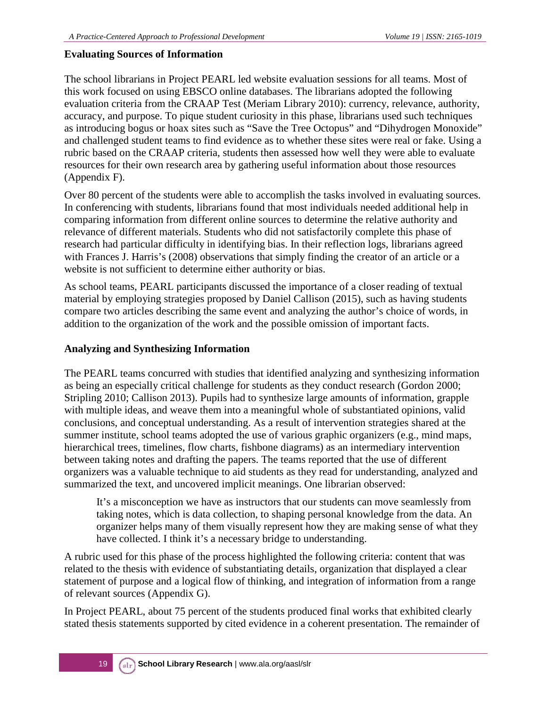#### **Evaluating Sources of Information**

The school librarians in Project PEARL led website evaluation sessions for all teams. Most of this work focused on using EBSCO online databases. The librarians adopted the following evaluation criteria from the CRAAP Test (Meriam Library 2010): currency, relevance, authority, accuracy, and purpose. To pique student curiosity in this phase, librarians used such techniques as introducing bogus or hoax sites such as "Save the Tree Octopus" and "Dihydrogen Monoxide" and challenged student teams to find evidence as to whether these sites were real or fake. Using a rubric based on the CRAAP criteria, students then assessed how well they were able to evaluate resources for their own research area by gathering useful information about those resources (Appendix F).

Over 80 percent of the students were able to accomplish the tasks involved in evaluating sources. In conferencing with students, librarians found that most individuals needed additional help in comparing information from different online sources to determine the relative authority and relevance of different materials. Students who did not satisfactorily complete this phase of research had particular difficulty in identifying bias. In their reflection logs, librarians agreed with Frances J. Harris's (2008) observations that simply finding the creator of an article or a website is not sufficient to determine either authority or bias.

As school teams, PEARL participants discussed the importance of a closer reading of textual material by employing strategies proposed by Daniel Callison (2015), such as having students compare two articles describing the same event and analyzing the author's choice of words, in addition to the organization of the work and the possible omission of important facts.

#### **Analyzing and Synthesizing Information**

The PEARL teams concurred with studies that identified analyzing and synthesizing information as being an especially critical challenge for students as they conduct research (Gordon 2000; Stripling 2010; Callison 2013). Pupils had to synthesize large amounts of information, grapple with multiple ideas, and weave them into a meaningful whole of substantiated opinions, valid conclusions, and conceptual understanding. As a result of intervention strategies shared at the summer institute, school teams adopted the use of various graphic organizers (e.g., mind maps, hierarchical trees, timelines, flow charts, fishbone diagrams) as an intermediary intervention between taking notes and drafting the papers. The teams reported that the use of different organizers was a valuable technique to aid students as they read for understanding, analyzed and summarized the text, and uncovered implicit meanings. One librarian observed:

It's a misconception we have as instructors that our students can move seamlessly from taking notes, which is data collection, to shaping personal knowledge from the data. An organizer helps many of them visually represent how they are making sense of what they have collected. I think it's a necessary bridge to understanding.

A rubric used for this phase of the process highlighted the following criteria: content that was related to the thesis with evidence of substantiating details, organization that displayed a clear statement of purpose and a logical flow of thinking, and integration of information from a range of relevant sources (Appendix G).

In Project PEARL, about 75 percent of the students produced final works that exhibited clearly stated thesis statements supported by cited evidence in a coherent presentation. The remainder of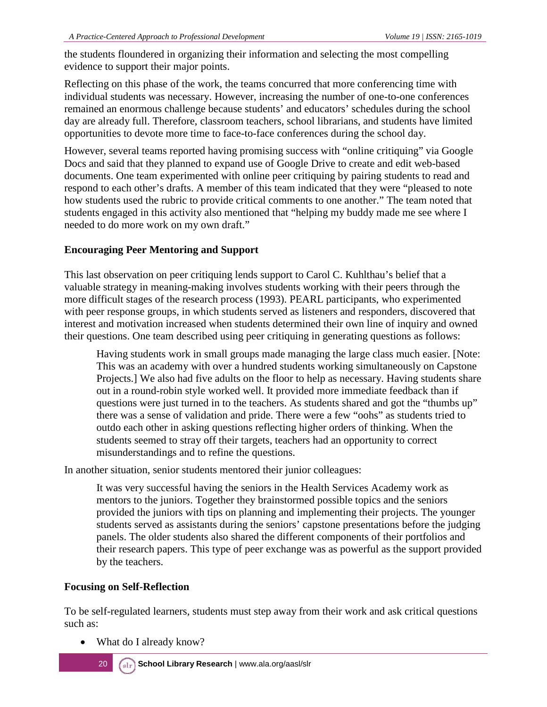the students floundered in organizing their information and selecting the most compelling evidence to support their major points.

Reflecting on this phase of the work, the teams concurred that more conferencing time with individual students was necessary. However, increasing the number of one-to-one conferences remained an enormous challenge because students' and educators' schedules during the school day are already full. Therefore, classroom teachers, school librarians, and students have limited opportunities to devote more time to face-to-face conferences during the school day.

However, several teams reported having promising success with "online critiquing" via Google Docs and said that they planned to expand use of Google Drive to create and edit web-based documents. One team experimented with online peer critiquing by pairing students to read and respond to each other's drafts. A member of this team indicated that they were "pleased to note how students used the rubric to provide critical comments to one another." The team noted that students engaged in this activity also mentioned that "helping my buddy made me see where I needed to do more work on my own draft."

#### **Encouraging Peer Mentoring and Support**

This last observation on peer critiquing lends support to Carol C. Kuhlthau's belief that a valuable strategy in meaning-making involves students working with their peers through the more difficult stages of the research process (1993). PEARL participants, who experimented with peer response groups, in which students served as listeners and responders, discovered that interest and motivation increased when students determined their own line of inquiry and owned their questions. One team described using peer critiquing in generating questions as follows:

Having students work in small groups made managing the large class much easier. [Note: This was an academy with over a hundred students working simultaneously on Capstone Projects.] We also had five adults on the floor to help as necessary. Having students share out in a round-robin style worked well. It provided more immediate feedback than if questions were just turned in to the teachers. As students shared and got the "thumbs up" there was a sense of validation and pride. There were a few "oohs" as students tried to outdo each other in asking questions reflecting higher orders of thinking. When the students seemed to stray off their targets, teachers had an opportunity to correct misunderstandings and to refine the questions.

In another situation, senior students mentored their junior colleagues:

It was very successful having the seniors in the Health Services Academy work as mentors to the juniors. Together they brainstormed possible topics and the seniors provided the juniors with tips on planning and implementing their projects. The younger students served as assistants during the seniors' capstone presentations before the judging panels. The older students also shared the different components of their portfolios and their research papers. This type of peer exchange was as powerful as the support provided by the teachers.

#### **Focusing on Self-Reflection**

To be self-regulated learners, students must step away from their work and ask critical questions such as:

• What do I already know?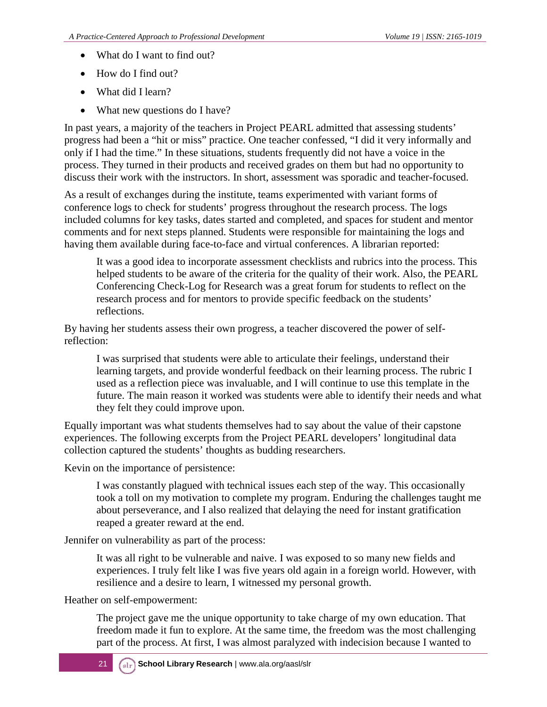- What do I want to find out?
- How do I find out?
- What did I learn?
- What new questions do I have?

In past years, a majority of the teachers in Project PEARL admitted that assessing students' progress had been a "hit or miss" practice. One teacher confessed, "I did it very informally and only if I had the time." In these situations, students frequently did not have a voice in the process. They turned in their products and received grades on them but had no opportunity to discuss their work with the instructors. In short, assessment was sporadic and teacher-focused.

As a result of exchanges during the institute, teams experimented with variant forms of conference logs to check for students' progress throughout the research process. The logs included columns for key tasks, dates started and completed, and spaces for student and mentor comments and for next steps planned. Students were responsible for maintaining the logs and having them available during face-to-face and virtual conferences. A librarian reported:

It was a good idea to incorporate assessment checklists and rubrics into the process. This helped students to be aware of the criteria for the quality of their work. Also, the PEARL Conferencing Check-Log for Research was a great forum for students to reflect on the research process and for mentors to provide specific feedback on the students' reflections.

By having her students assess their own progress, a teacher discovered the power of selfreflection:

I was surprised that students were able to articulate their feelings, understand their learning targets, and provide wonderful feedback on their learning process. The rubric I used as a reflection piece was invaluable, and I will continue to use this template in the future. The main reason it worked was students were able to identify their needs and what they felt they could improve upon.

Equally important was what students themselves had to say about the value of their capstone experiences. The following excerpts from the Project PEARL developers' longitudinal data collection captured the students' thoughts as budding researchers.

Kevin on the importance of persistence:

I was constantly plagued with technical issues each step of the way. This occasionally took a toll on my motivation to complete my program. Enduring the challenges taught me about perseverance, and I also realized that delaying the need for instant gratification reaped a greater reward at the end.

Jennifer on vulnerability as part of the process:

It was all right to be vulnerable and naive. I was exposed to so many new fields and experiences. I truly felt like I was five years old again in a foreign world. However, with resilience and a desire to learn, I witnessed my personal growth.

Heather on self-empowerment:

The project gave me the unique opportunity to take charge of my own education. That freedom made it fun to explore. At the same time, the freedom was the most challenging part of the process. At first, I was almost paralyzed with indecision because I wanted to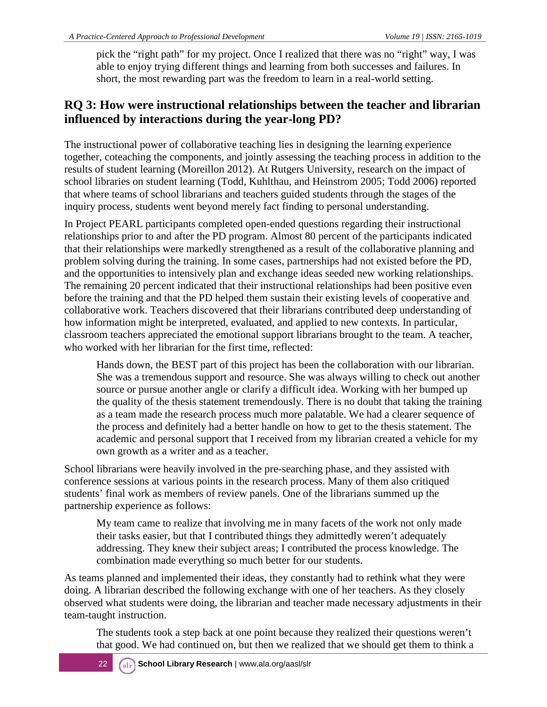pick the "right path" for my project. Once I realized that there was no "right" way, I was able to enjoy trying different things and learning from both successes and failures. In short, the most rewarding part was the freedom to learn in a real-world setting.

### **RQ 3: How were instructional relationships between the teacher and librarian influenced by interactions during the year-long PD?**

The instructional power of collaborative teaching lies in designing the learning experience together, coteaching the components, and jointly assessing the teaching process in addition to the results of student learning (Moreillon 2012). At Rutgers University, research on the impact of school libraries on student learning (Todd, Kuhlthau, and Heinstrom 2005; Todd 2006) reported that where teams of school librarians and teachers guided students through the stages of the inquiry process, students went beyond merely fact finding to personal understanding.

In Project PEARL participants completed open-ended questions regarding their instructional relationships prior to and after the PD program. Almost 80 percent of the participants indicated that their relationships were markedly strengthened as a result of the collaborative planning and problem solving during the training. In some cases, partnerships had not existed before the PD, and the opportunities to intensively plan and exchange ideas seeded new working relationships. The remaining 20 percent indicated that their instructional relationships had been positive even before the training and that the PD helped them sustain their existing levels of cooperative and collaborative work. Teachers discovered that their librarians contributed deep understanding of how information might be interpreted, evaluated, and applied to new contexts. In particular, classroom teachers appreciated the emotional support librarians brought to the team. A teacher, who worked with her librarian for the first time, reflected:

Hands down, the BEST part of this project has been the collaboration with our librarian. She was a tremendous support and resource. She was always willing to check out another source or pursue another angle or clarify a difficult idea. Working with her bumped up the quality of the thesis statement tremendously. There is no doubt that taking the training as a team made the research process much more palatable. We had a clearer sequence of the process and definitely had a better handle on how to get to the thesis statement. The academic and personal support that I received from my librarian created a vehicle for my own growth as a writer and as a teacher.

School librarians were heavily involved in the pre-searching phase, and they assisted with conference sessions at various points in the research process. Many of them also critiqued students' final work as members of review panels. One of the librarians summed up the partnership experience as follows:

My team came to realize that involving me in many facets of the work not only made their tasks easier, but that I contributed things they admittedly weren't adequately addressing. They knew their subject areas; I contributed the process knowledge. The combination made everything so much better for our students.

As teams planned and implemented their ideas, they constantly had to rethink what they were doing. A librarian described the following exchange with one of her teachers. As they closely observed what students were doing, the librarian and teacher made necessary adjustments in their team-taught instruction.

The students took a step back at one point because they realized their questions weren't that good. We had continued on, but then we realized that we should get them to think a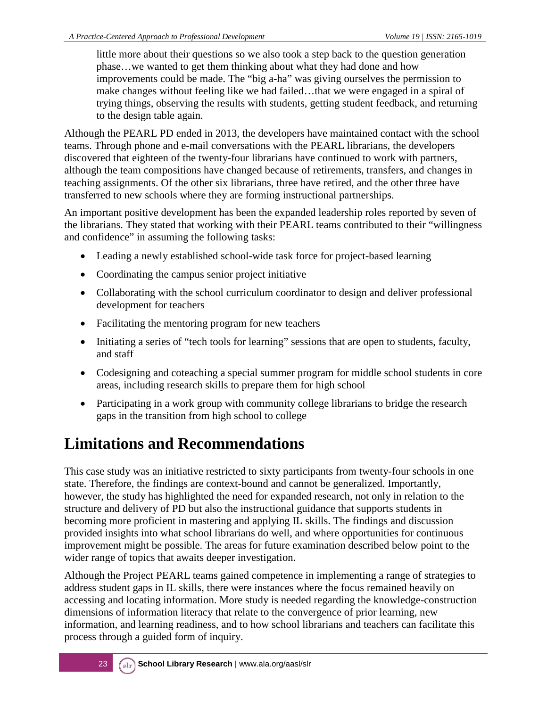little more about their questions so we also took a step back to the question generation phase…we wanted to get them thinking about what they had done and how improvements could be made. The "big a-ha" was giving ourselves the permission to make changes without feeling like we had failed…that we were engaged in a spiral of trying things, observing the results with students, getting student feedback, and returning to the design table again.

Although the PEARL PD ended in 2013, the developers have maintained contact with the school teams. Through phone and e-mail conversations with the PEARL librarians, the developers discovered that eighteen of the twenty-four librarians have continued to work with partners, although the team compositions have changed because of retirements, transfers, and changes in teaching assignments. Of the other six librarians, three have retired, and the other three have transferred to new schools where they are forming instructional partnerships.

An important positive development has been the expanded leadership roles reported by seven of the librarians. They stated that working with their PEARL teams contributed to their "willingness and confidence" in assuming the following tasks:

- Leading a newly established school-wide task force for project-based learning
- Coordinating the campus senior project initiative
- Collaborating with the school curriculum coordinator to design and deliver professional development for teachers
- Facilitating the mentoring program for new teachers
- Initiating a series of "tech tools for learning" sessions that are open to students, faculty, and staff
- Codesigning and coteaching a special summer program for middle school students in core areas, including research skills to prepare them for high school
- Participating in a work group with community college librarians to bridge the research gaps in the transition from high school to college

## **Limitations and Recommendations**

This case study was an initiative restricted to sixty participants from twenty-four schools in one state. Therefore, the findings are context-bound and cannot be generalized. Importantly, however, the study has highlighted the need for expanded research, not only in relation to the structure and delivery of PD but also the instructional guidance that supports students in becoming more proficient in mastering and applying IL skills. The findings and discussion provided insights into what school librarians do well, and where opportunities for continuous improvement might be possible. The areas for future examination described below point to the wider range of topics that awaits deeper investigation.

Although the Project PEARL teams gained competence in implementing a range of strategies to address student gaps in IL skills, there were instances where the focus remained heavily on accessing and locating information. More study is needed regarding the knowledge-construction dimensions of information literacy that relate to the convergence of prior learning, new information, and learning readiness, and to how school librarians and teachers can facilitate this process through a guided form of inquiry.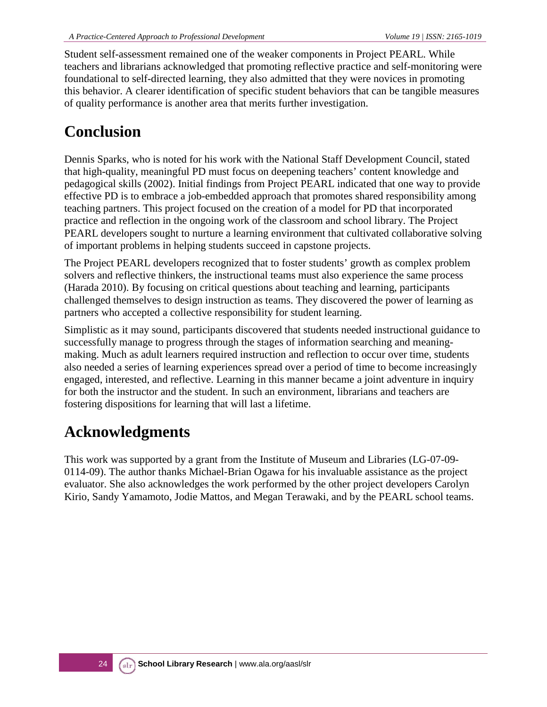Student self-assessment remained one of the weaker components in Project PEARL. While teachers and librarians acknowledged that promoting reflective practice and self-monitoring were foundational to self-directed learning, they also admitted that they were novices in promoting this behavior. A clearer identification of specific student behaviors that can be tangible measures of quality performance is another area that merits further investigation.

## **Conclusion**

Dennis Sparks, who is noted for his work with the National Staff Development Council, stated that high-quality, meaningful PD must focus on deepening teachers' content knowledge and pedagogical skills (2002). Initial findings from Project PEARL indicated that one way to provide effective PD is to embrace a job-embedded approach that promotes shared responsibility among teaching partners. This project focused on the creation of a model for PD that incorporated practice and reflection in the ongoing work of the classroom and school library. The Project PEARL developers sought to nurture a learning environment that cultivated collaborative solving of important problems in helping students succeed in capstone projects.

The Project PEARL developers recognized that to foster students' growth as complex problem solvers and reflective thinkers, the instructional teams must also experience the same process (Harada 2010). By focusing on critical questions about teaching and learning, participants challenged themselves to design instruction as teams. They discovered the power of learning as partners who accepted a collective responsibility for student learning.

Simplistic as it may sound, participants discovered that students needed instructional guidance to successfully manage to progress through the stages of information searching and meaningmaking. Much as adult learners required instruction and reflection to occur over time, students also needed a series of learning experiences spread over a period of time to become increasingly engaged, interested, and reflective. Learning in this manner became a joint adventure in inquiry for both the instructor and the student. In such an environment, librarians and teachers are fostering dispositions for learning that will last a lifetime.

### **Acknowledgments**

This work was supported by a grant from the Institute of Museum and Libraries (LG-07-09- 0114-09). The author thanks Michael-Brian Ogawa for his invaluable assistance as the project evaluator. She also acknowledges the work performed by the other project developers Carolyn Kirio, Sandy Yamamoto, Jodie Mattos, and Megan Terawaki, and by the PEARL school teams.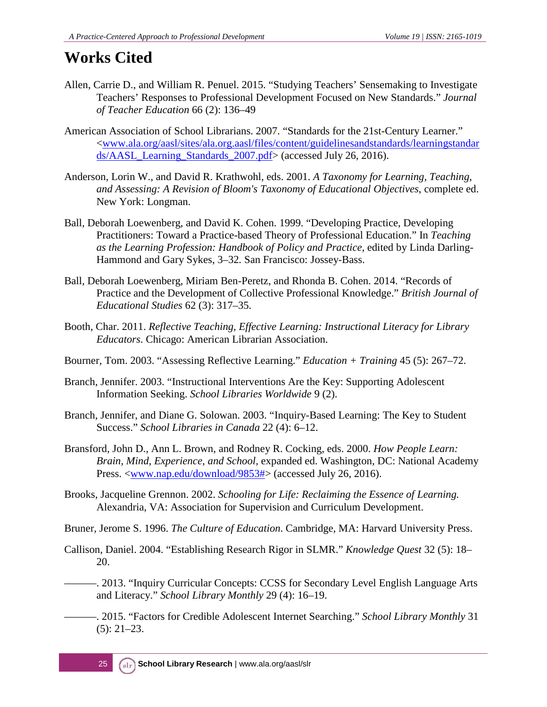## **Works Cited**

- Allen, Carrie D., and William R. Penuel. 2015. "Studying Teachers' Sensemaking to Investigate Teachers' Responses to Professional Development Focused on New Standards." *Journal of Teacher Education* 66 (2): 136–49
- American Association of School Librarians. 2007. "Standards for the 21st-Century Learner." [<www.ala.org/aasl/sites/ala.org.aasl/files/content/guidelinesandstandards/learningstandar](http://www.ala.org/aasl/sites/ala.org.aasl/files/content/guidelinesandstandards/learningstandards/AASL_Learning_Standards_2007.pdf) [ds/AASL\\_Learning\\_Standards\\_2007.pdf>](http://www.ala.org/aasl/sites/ala.org.aasl/files/content/guidelinesandstandards/learningstandards/AASL_Learning_Standards_2007.pdf) (accessed July 26, 2016).
- Anderson, Lorin W., and David R. Krathwohl, eds. 2001. *A Taxonomy for Learning, Teaching, and Assessing: A Revision of Bloom's Taxonomy of Educational Objectives*, complete ed. New York: Longman.
- Ball, Deborah Loewenberg, and David K. Cohen. 1999. "Developing Practice, Developing Practitioners: Toward a Practice-based Theory of Professional Education." In *Teaching as the Learning Profession: Handbook of Policy and Practice*, edited by Linda Darling-Hammond and Gary Sykes, 3–32*.* San Francisco: Jossey-Bass.
- Ball, Deborah Loewenberg, Miriam Ben-Peretz, and Rhonda B. Cohen. 2014. "Records of Practice and the Development of Collective Professional Knowledge." *British Journal of Educational Studies* 62 (3): 317–35.
- Booth, Char. 2011. *Reflective Teaching, Effective Learning: Instructional Literacy for Library Educators*. Chicago: American Librarian Association.
- Bourner, Tom. 2003. "Assessing Reflective Learning." *Education + Training* 45 (5): 267–72.
- Branch, Jennifer. 2003. "Instructional Interventions Are the Key: Supporting Adolescent Information Seeking. *School Libraries Worldwide* 9 (2).
- Branch, Jennifer, and Diane G. Solowan. 2003. "Inquiry-Based Learning: The Key to Student Success." *School Libraries in Canada* 22 (4): 6–12.
- Bransford, John D., Ann L. Brown, and Rodney R. Cocking, eds. 2000. *How People Learn: Brain, Mind, Experience, and School,* expanded ed. Washington, DC: National Academy Press. [<www.nap.edu/download/9853#>](http://www.nap.edu/download/9853) (accessed July 26, 2016).
- Brooks, Jacqueline Grennon. 2002. *Schooling for Life: Reclaiming the Essence of Learning.*  Alexandria, VA: Association for Supervision and Curriculum Development.
- Bruner, Jerome S. 1996. *The Culture of Education*. Cambridge, MA: Harvard University Press.
- Callison, Daniel. 2004. "Establishing Research Rigor in SLMR." *Knowledge Quest* 32 (5): 18– 20.
	- -. 2013. "Inquiry Curricular Concepts: CCSS for Secondary Level English Language Arts and Literacy." *School Library Monthly* 29 (4): 16–19.
	- ———. 2015. "Factors for Credible Adolescent Internet Searching." *School Library Monthly* 31 (5): 21–23.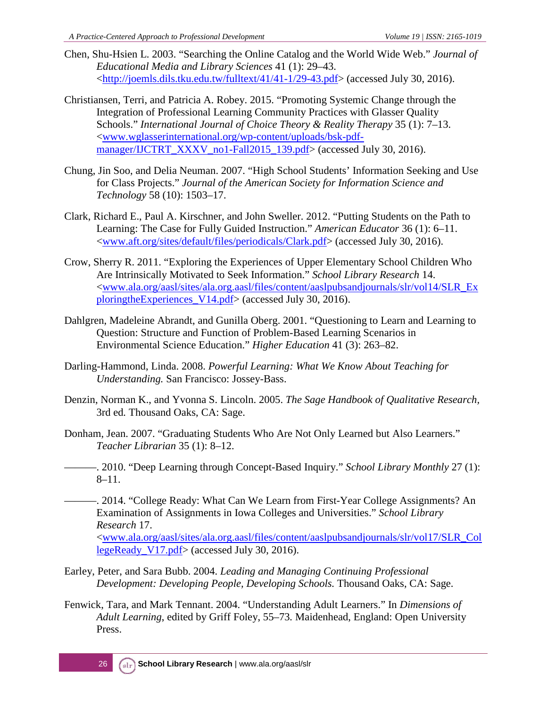- Chen, Shu-Hsien L. 2003. "Searching the Online Catalog and the World Wide Web." *Journal of Educational Media and Library Sciences* 41 (1): 29–43. [<http://joemls.dils.tku.edu.tw/fulltext/41/41-1/29-43.pdf>](http://joemls.dils.tku.edu.tw/fulltext/41/41-1/29-43.pdf) (accessed July 30, 2016).
- Christiansen, Terri, and Patricia A. Robey. 2015. "Promoting Systemic Change through the Integration of Professional Learning Community Practices with Glasser Quality Schools." *International Journal of Choice Theory & Reality Therapy* 35 (1): 7–13. [<www.wglasserinternational.org/wp-content/uploads/bsk-pdf](http://www.wglasserinternational.org/wp-content/uploads/bsk-pdf-manager/IJCTRT_XXXV_no1-Fall2015_139.pdf)[manager/IJCTRT\\_XXXV\\_no1-Fall2015\\_139.pdf>](http://www.wglasserinternational.org/wp-content/uploads/bsk-pdf-manager/IJCTRT_XXXV_no1-Fall2015_139.pdf) (accessed July 30, 2016).
- Chung, Jin Soo, and Delia Neuman. 2007. "High School Students' Information Seeking and Use for Class Projects." *Journal of the American Society for Information Science and Technology* 58 (10): 1503–17.
- Clark, Richard E., Paul A. Kirschner, and John Sweller. 2012. "Putting Students on the Path to Learning: The Case for Fully Guided Instruction." *American Educator* 36 (1): 6–11. [<www.aft.org/sites/default/files/periodicals/Clark.pdf>](https://www.aft.org/sites/default/files/periodicals/Clark.pdf) (accessed July 30, 2016).
- Crow, Sherry R. 2011. "Exploring the Experiences of Upper Elementary School Children Who Are Intrinsically Motivated to Seek Information." *School Library Research* 14. [<www.ala.org/aasl/sites/ala.org.aasl/files/content/aaslpubsandjournals/slr/vol14/SLR\\_Ex](http://www.ala.org/aasl/sites/ala.org.aasl/files/content/aaslpubsandjournals/slr/vol14/SLR_ExploringtheExperiences_V14.pdf) [ploringtheExperiences\\_V14.pdf>](http://www.ala.org/aasl/sites/ala.org.aasl/files/content/aaslpubsandjournals/slr/vol14/SLR_ExploringtheExperiences_V14.pdf) (accessed July 30, 2016).
- Dahlgren, Madeleine Abrandt, and Gunilla Oberg. 2001. "Questioning to Learn and Learning to Question: Structure and Function of Problem-Based Learning Scenarios in Environmental Science Education." *Higher Education* 41 (3): 263–82.
- Darling-Hammond, Linda. 2008. *Powerful Learning: What We Know About Teaching for Understanding.* San Francisco: Jossey-Bass.
- Denzin, Norman K., and Yvonna S. Lincoln. 2005. *The Sage Handbook of Qualitative Research,*  3rd ed*.* Thousand Oaks, CA: Sage.
- Donham, Jean. 2007. "Graduating Students Who Are Not Only Learned but Also Learners." *Teacher Librarian* 35 (1): 8–12.
	- ———. 2010. "Deep Learning through Concept-Based Inquiry." *School Library Monthly* 27 (1): 8–11.
- ———. 2014. "College Ready: What Can We Learn from First-Year College Assignments? An Examination of Assignments in Iowa Colleges and Universities." *School Library Research* 17. [<www.ala.org/aasl/sites/ala.org.aasl/files/content/aaslpubsandjournals/slr/vol17/SLR\\_Col](http://www.ala.org/aasl/sites/ala.org.aasl/files/content/aaslpubsandjournals/slr/vol17/SLR_CollegeReady_V17.pdf) [legeReady\\_V17.pdf>](http://www.ala.org/aasl/sites/ala.org.aasl/files/content/aaslpubsandjournals/slr/vol17/SLR_CollegeReady_V17.pdf) (accessed July 30, 2016).
- Earley, Peter, and Sara Bubb. 2004. *Leading and Managing Continuing Professional Development: Developing People, Developing Schools.* Thousand Oaks, CA: Sage.
- Fenwick, Tara, and Mark Tennant. 2004. "Understanding Adult Learners." In *Dimensions of Adult Learning*, edited by Griff Foley, 55–73*.* Maidenhead, England: Open University Press.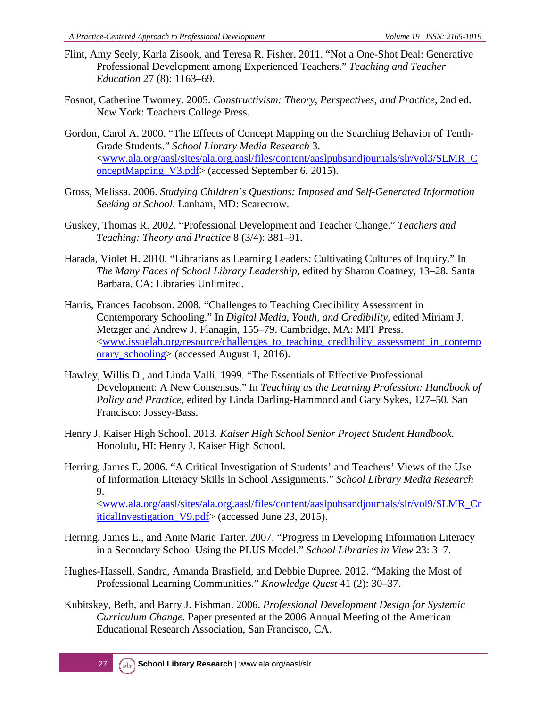- Flint, Amy Seely, Karla Zisook, and Teresa R. Fisher. 2011. "Not a One-Shot Deal: Generative Professional Development among Experienced Teachers." *Teaching and Teacher Education* 27 (8): 1163–69.
- Fosnot, Catherine Twomey. 2005. *Constructivism: Theory, Perspectives, and Practice,* 2nd ed*.* New York: Teachers College Press.
- Gordon, Carol A. 2000. "The Effects of Concept Mapping on the Searching Behavior of Tenth-Grade Students." *School Library Media Research* 3. [<www.ala.org/aasl/sites/ala.org.aasl/files/content/aaslpubsandjournals/slr/vol3/SLMR\\_C](http://www.ala.org/aasl/sites/ala.org.aasl/files/content/aaslpubsandjournals/slr/vol3/SLMR_ConceptMapping_V3.pdf) [onceptMapping\\_V3.pdf>](http://www.ala.org/aasl/sites/ala.org.aasl/files/content/aaslpubsandjournals/slr/vol3/SLMR_ConceptMapping_V3.pdf) (accessed September 6, 2015).
- Gross, Melissa. 2006. *Studying Children's Questions: Imposed and Self-Generated Information Seeking at School*. Lanham, MD: Scarecrow.
- Guskey, Thomas R. 2002. "Professional Development and Teacher Change." *Teachers and Teaching: Theory and Practice* 8 (3/4): 381–91.
- Harada, Violet H. 2010. "Librarians as Learning Leaders: Cultivating Cultures of Inquiry." In *The Many Faces of School Library Leadership,* edited by Sharon Coatney, 13–28*.* Santa Barbara, CA: Libraries Unlimited.
- Harris, Frances Jacobson. 2008. "Challenges to Teaching Credibility Assessment in Contemporary Schooling." In *Digital Media, Youth, and Credibility,* edited Miriam J. Metzger and Andrew J. Flanagin, 155–79. Cambridge, MA: MIT Press. [<www.issuelab.org/resource/challenges\\_to\\_teaching\\_credibility\\_assessment\\_in\\_contemp](http://www.issuelab.org/resource/challenges_to_teaching_credibility_assessment_in_contemporary_schooling) [orary\\_schooling>](http://www.issuelab.org/resource/challenges_to_teaching_credibility_assessment_in_contemporary_schooling) (accessed August 1, 2016).
- Hawley, Willis D., and Linda Valli. 1999. "The Essentials of Effective Professional Development: A New Consensus." In *Teaching as the Learning Profession: Handbook of Policy and Practice,* edited by Linda Darling-Hammond and Gary Sykes, 127–50*.* San Francisco: Jossey-Bass.
- Henry J. Kaiser High School. 2013. *Kaiser High School Senior Project Student Handbook.* Honolulu, HI: Henry J. Kaiser High School.
- Herring, James E. 2006. "A Critical Investigation of Students' and Teachers' Views of the Use of Information Literacy Skills in School Assignments." *School Library Media Research*  9. [<www.ala.org/aasl/sites/ala.org.aasl/files/content/aaslpubsandjournals/slr/vol9/SLMR\\_Cr](http://www.ala.org/aasl/sites/ala.org.aasl/files/content/aaslpubsandjournals/slr/vol9/SLMR_CriticalInvestigation_V9.pdf) [iticalInvestigation\\_V9.pdf>](http://www.ala.org/aasl/sites/ala.org.aasl/files/content/aaslpubsandjournals/slr/vol9/SLMR_CriticalInvestigation_V9.pdf) (accessed June 23, 2015).
- Herring, James E., and Anne Marie Tarter. 2007. "Progress in Developing Information Literacy in a Secondary School Using the PLUS Model." *School Libraries in View* 23: 3–7.
- Hughes-Hassell, Sandra, Amanda Brasfield, and Debbie Dupree. 2012. "Making the Most of Professional Learning Communities." *Knowledge Quest* 41 (2): 30–37.
- Kubitskey, Beth, and Barry J. Fishman. 2006. *Professional Development Design for Systemic Curriculum Change.* Paper presented at the 2006 Annual Meeting of the American Educational Research Association, San Francisco, CA.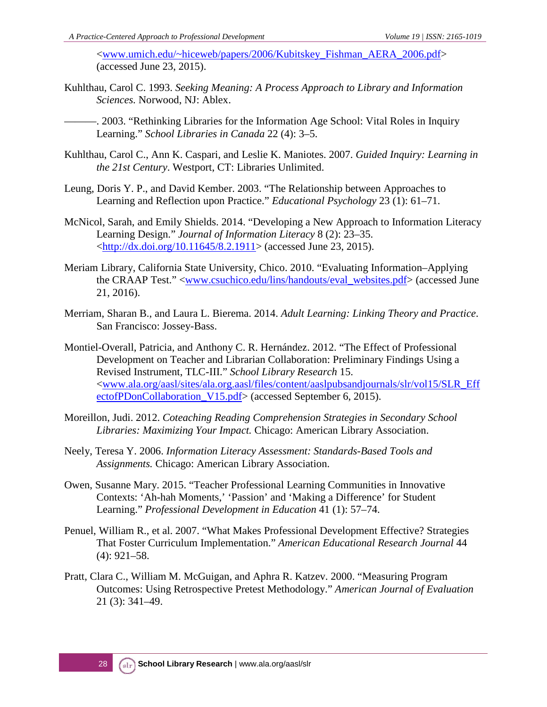[<www.umich.edu/~hiceweb/papers/2006/Kubitskey\\_Fishman\\_AERA\\_2006.pdf>](http://www.umich.edu/%7Ehiceweb/papers/2006/Kubitskey_Fishman_AERA_2006.pdf) (accessed June 23, 2015).

Kuhlthau, Carol C. 1993. *Seeking Meaning: A Process Approach to Library and Information Sciences.* Norwood, NJ: Ablex.

———. 2003. "Rethinking Libraries for the Information Age School: Vital Roles in Inquiry Learning." *School Libraries in Canada* 22 (4): 3–5.

- Kuhlthau, Carol C., Ann K. Caspari, and Leslie K. Maniotes. 2007. *Guided Inquiry: Learning in the 21st Century*. Westport, CT: Libraries Unlimited.
- Leung, Doris Y. P., and David Kember. 2003. "The Relationship between Approaches to Learning and Reflection upon Practice." *Educational Psychology* 23 (1): 61–71.
- McNicol, Sarah, and Emily Shields. 2014. "Developing a New Approach to Information Literacy Learning Design." *Journal of Information Literacy* 8 (2): 23–35. [<http://dx.doi.org/10.11645/8.2.1911>](http://dx.doi.org/10.11645/8.2.1911) (accessed June 23, 2015).
- Meriam Library, California State University, Chico. 2010. "Evaluating Information–Applying the CRAAP Test." [<www.csuchico.edu/lins/handouts/eval\\_websites.pdf>](https://www.csuchico.edu/lins/handouts/eval_websites.pdf) (accessed June 21, 2016).
- Merriam, Sharan B., and Laura L. Bierema. 2014. *Adult Learning: Linking Theory and Practice*. San Francisco: Jossey-Bass.
- Montiel-Overall, Patricia, and Anthony C. R. Hernández. 2012. "The Effect of Professional Development on Teacher and Librarian Collaboration: Preliminary Findings Using a Revised Instrument, TLC-III." *School Library Research* 15. [<www.ala.org/aasl/sites/ala.org.aasl/files/content/aaslpubsandjournals/slr/vol15/SLR\\_Eff](http://www.ala.org/aasl/sites/ala.org.aasl/files/content/aaslpubsandjournals/slr/vol15/SLR_EffectofPDonCollaboration_V15.pdf) [ectofPDonCollaboration\\_V15.pdf>](http://www.ala.org/aasl/sites/ala.org.aasl/files/content/aaslpubsandjournals/slr/vol15/SLR_EffectofPDonCollaboration_V15.pdf) (accessed September 6, 2015).
- Moreillon, Judi. 2012. *Coteaching Reading Comprehension Strategies in Secondary School Libraries: Maximizing Your Impact.* Chicago: American Library Association.
- Neely, Teresa Y. 2006. *Information Literacy Assessment: Standards-Based Tools and Assignments.* Chicago: American Library Association.
- Owen, Susanne Mary. 2015. "Teacher Professional Learning Communities in Innovative Contexts: 'Ah-hah Moments,' 'Passion' and 'Making a Difference' for Student Learning." *Professional Development in Education* 41 (1): 57–74.
- Penuel, William R., et al. 2007. "What Makes Professional Development Effective? Strategies That Foster Curriculum Implementation." *American Educational Research Journal* 44 (4): 921–58.
- Pratt, Clara C., William M. McGuigan, and Aphra R. Katzev. 2000. "Measuring Program Outcomes: Using Retrospective Pretest Methodology." *American Journal of Evaluation* 21 (3): 341–49.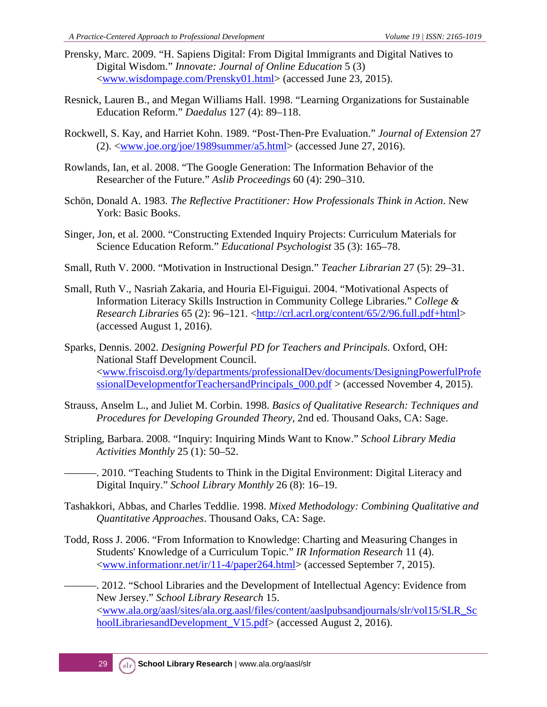- Prensky, Marc. 2009. "H. Sapiens Digital: From Digital Immigrants and Digital Natives to Digital Wisdom." *Innovate: Journal of Online Education* 5 (3) [<www.wisdompage.com/Prensky01.html>](http://www.wisdompage.com/Prensky01.html) (accessed June 23, 2015).
- Resnick, Lauren B., and Megan Williams Hall. 1998. "Learning Organizations for Sustainable Education Reform." *Daedalus* 127 (4): 89–118.
- Rockwell, S. Kay, and Harriet Kohn. 1989. "Post-Then-Pre Evaluation." *Journal of Extension* 27  $(2)$ .  $\langle$ www.joe.org/joe/1989summer/a5.html> (accessed June 27, 2016).
- Rowlands, Ian, et al. 2008. "The Google Generation: The Information Behavior of the Researcher of the Future." *Aslib Proceedings* 60 (4): 290–310.
- Schön, Donald A. 1983. *The Reflective Practitioner: How Professionals Think in Action*. New York: Basic Books.
- Singer, Jon, et al. 2000. "Constructing Extended Inquiry Projects: Curriculum Materials for Science Education Reform." *Educational Psychologist* 35 (3): 165–78.
- Small, Ruth V. 2000. "Motivation in Instructional Design." *Teacher Librarian* 27 (5): 29–31.
- Small, Ruth V., Nasriah Zakaria, and Houria El-Figuigui. 2004. "Motivational Aspects of Information Literacy Skills Instruction in Community College Libraries." *College & Research Libraries* 65 (2): 96–121. [<http://crl.acrl.org/content/65/2/96.full.pdf+html>](http://crl.acrl.org/content/65/2/96.full.pdf+html) (accessed August 1, 2016).
- Sparks, Dennis. 2002. *Designing Powerful PD for Teachers and Principals.* Oxford, OH: National Staff Development Council. [<www.friscoisd.org/ly/departments/professionalDev/documents/DesigningPowerfulProfe](http://www.friscoisd.org/ly/departments/professionalDev/documents/DesigningPowerfulProfessionalDevelopmentforTeachersandPrincipals_000.pdf) ssionalDevelopmentforTeachersandPrincipals  $000.pdf$  > (accessed November 4, 2015).
- Strauss, Anselm L., and Juliet M. Corbin. 1998. *Basics of Qualitative Research: Techniques and Procedures for Developing Grounded Theory,* 2nd ed. Thousand Oaks, CA: Sage.
- Stripling, Barbara. 2008. "Inquiry: Inquiring Minds Want to Know." *School Library Media Activities Monthly* 25 (1): 50–52.

———. 2010. "Teaching Students to Think in the Digital Environment: Digital Literacy and Digital Inquiry." *School Library Monthly* 26 (8): 16–19.

- Tashakkori, Abbas, and Charles Teddlie. 1998. *Mixed Methodology: Combining Qualitative and Quantitative Approaches*. Thousand Oaks, CA: Sage.
- Todd, Ross J. 2006. "From Information to Knowledge: Charting and Measuring Changes in Students' Knowledge of a Curriculum Topic." *IR Information Research* 11 (4). [<www.informationr.net/ir/11-4/paper264.html>](http://www.informationr.net/ir/11-4/paper264.html) (accessed September 7, 2015).

-. 2012. "School Libraries and the Development of Intellectual Agency: Evidence from New Jersey." *School Library Research* 15. [<www.ala.org/aasl/sites/ala.org.aasl/files/content/aaslpubsandjournals/slr/vol15/SLR\\_Sc](http://www.ala.org/aasl/sites/ala.org.aasl/files/content/aaslpubsandjournals/slr/vol15/SLR_SchoolLibrariesandDevelopment_V15.pdf) [hoolLibrariesandDevelopment\\_V15.pdf>](http://www.ala.org/aasl/sites/ala.org.aasl/files/content/aaslpubsandjournals/slr/vol15/SLR_SchoolLibrariesandDevelopment_V15.pdf) (accessed August 2, 2016).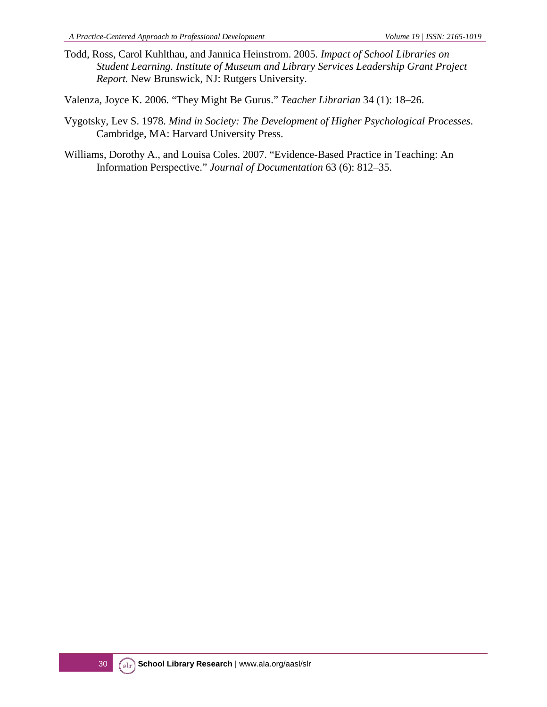Todd, Ross, Carol Kuhlthau, and Jannica Heinstrom. 2005. *Impact of School Libraries on Student Learning. Institute of Museum and Library Services Leadership Grant Project Report.* New Brunswick, NJ: Rutgers University.

Valenza, Joyce K. 2006. "They Might Be Gurus." *Teacher Librarian* 34 (1): 18–26.

- Vygotsky, Lev S. 1978. *Mind in Society: The Development of Higher Psychological Processes*. Cambridge, MA: Harvard University Press.
- Williams, Dorothy A., and Louisa Coles. 2007. "Evidence-Based Practice in Teaching: An Information Perspective." *Journal of Documentation* 63 (6): 812–35.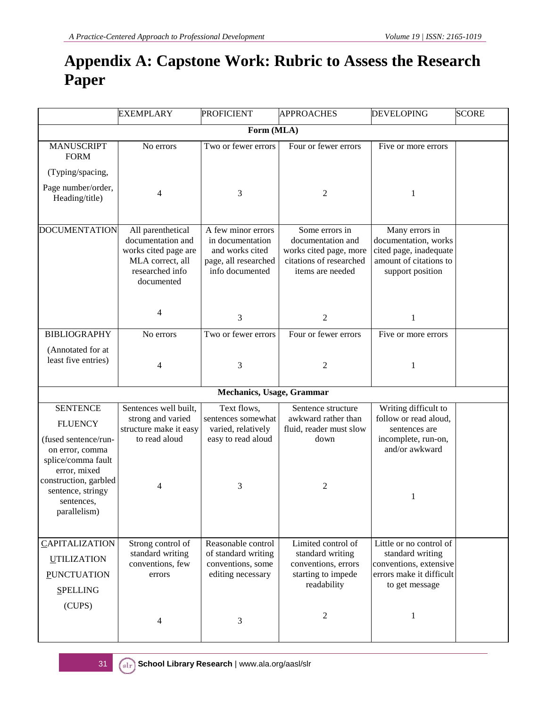## **Appendix A: Capstone Work: Rubric to Assess the Research Paper**

|                                                                                                                                                                                                | <b>EXEMPLARY</b>                                                                                                    | <b>PROFICIENT</b>                                                                                     | <b>APPROACHES</b>                                                                                            | <b>DEVELOPING</b>                                                                                                        | <b>SCORE</b> |
|------------------------------------------------------------------------------------------------------------------------------------------------------------------------------------------------|---------------------------------------------------------------------------------------------------------------------|-------------------------------------------------------------------------------------------------------|--------------------------------------------------------------------------------------------------------------|--------------------------------------------------------------------------------------------------------------------------|--------------|
|                                                                                                                                                                                                |                                                                                                                     | Form (MLA)                                                                                            |                                                                                                              |                                                                                                                          |              |
| <b>MANUSCRIPT</b><br><b>FORM</b>                                                                                                                                                               | No errors                                                                                                           | Two or fewer errors                                                                                   | Four or fewer errors                                                                                         | Five or more errors                                                                                                      |              |
| (Typing/spacing,                                                                                                                                                                               |                                                                                                                     |                                                                                                       |                                                                                                              |                                                                                                                          |              |
| Page number/order,<br>Heading/title)                                                                                                                                                           | 4                                                                                                                   | 3                                                                                                     | $\mathfrak{2}$                                                                                               | 1                                                                                                                        |              |
| <b>DOCUMENTATION</b>                                                                                                                                                                           | All parenthetical<br>documentation and<br>works cited page are<br>MLA correct, all<br>researched info<br>documented | A few minor errors<br>in documentation<br>and works cited<br>page, all researched<br>info documented  | Some errors in<br>documentation and<br>works cited page, more<br>citations of researched<br>items are needed | Many errors in<br>documentation, works<br>cited page, inadequate<br>amount of citations to<br>support position           |              |
|                                                                                                                                                                                                | 4                                                                                                                   | $\mathfrak{Z}$                                                                                        | $\overline{2}$                                                                                               | 1                                                                                                                        |              |
| <b>BIBLIOGRAPHY</b>                                                                                                                                                                            | No errors                                                                                                           | Two or fewer errors                                                                                   | Four or fewer errors                                                                                         | Five or more errors                                                                                                      |              |
| (Annotated for at<br>least five entries)                                                                                                                                                       | $\overline{4}$                                                                                                      | 3                                                                                                     | 2                                                                                                            | 1                                                                                                                        |              |
|                                                                                                                                                                                                |                                                                                                                     | Mechanics, Usage, Grammar                                                                             |                                                                                                              |                                                                                                                          |              |
| <b>SENTENCE</b><br><b>FLUENCY</b><br>(fused sentence/run-<br>on error, comma<br>splice/comma fault<br>error, mixed<br>construction, garbled<br>sentence, stringy<br>sentences,<br>parallelism) | Sentences well built,<br>strong and varied<br>structure make it easy<br>to read aloud<br>4                          | Text flows,<br>sentences somewhat<br>varied, relatively<br>easy to read aloud<br>3                    | Sentence structure<br>awkward rather than<br>fluid, reader must slow<br>down<br>2                            | Writing difficult to<br>follow or read aloud,<br>sentences are<br>incomplete, run-on,<br>and/or awkward<br>1             |              |
| CAPITALIZATION<br><b>UTILIZATION</b><br><b>PUNCTUATION</b><br><b>SPELLING</b><br>(CUPS)                                                                                                        | Strong control of<br>standard writing<br>conventions, few<br>errors<br>4                                            | Reasonable control<br>of standard writing<br>conventions, some<br>editing necessary<br>$\mathfrak{Z}$ | Limited control of<br>standard writing<br>conventions, errors<br>starting to impede<br>readability<br>2      | Little or no control of<br>standard writing<br>conventions, extensive<br>errors make it difficult<br>to get message<br>1 |              |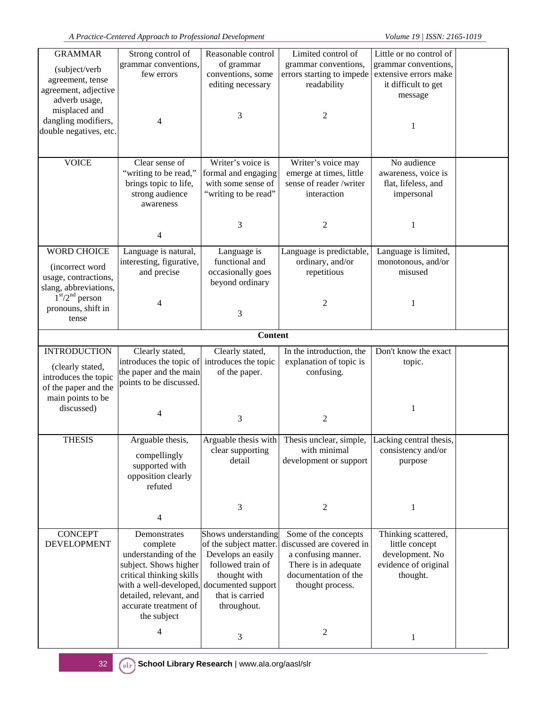| <b>GRAMMAR</b>         | Strong control of                            | Reasonable control     | Limited control of                                                   | Little or no control of |  |
|------------------------|----------------------------------------------|------------------------|----------------------------------------------------------------------|-------------------------|--|
|                        | grammar conventions,                         | of grammar             | grammar conventions,                                                 | grammar conventions,    |  |
| (subject/verb          | few errors                                   | conventions, some      | errors starting to impede                                            | extensive errors make   |  |
| agreement, tense       |                                              | editing necessary      | readability                                                          | it difficult to get     |  |
| agreement, adjective   |                                              |                        |                                                                      | message                 |  |
| adverb usage,          |                                              |                        |                                                                      |                         |  |
| misplaced and          |                                              | 3                      | 2                                                                    |                         |  |
| dangling modifiers,    | 4                                            |                        |                                                                      |                         |  |
| double negatives, etc. |                                              |                        |                                                                      |                         |  |
|                        |                                              |                        |                                                                      |                         |  |
|                        |                                              |                        |                                                                      |                         |  |
| <b>VOICE</b>           | Clear sense of                               | Writer's voice is      | Writer's voice may                                                   | No audience             |  |
|                        | "writing to be read,"                        | formal and engaging    | emerge at times, little                                              | awareness, voice is     |  |
|                        | brings topic to life,                        | with some sense of     | sense of reader /writer                                              | flat, lifeless, and     |  |
|                        | strong audience                              | "writing to be read"   | interaction                                                          | impersonal              |  |
|                        | awareness                                    |                        |                                                                      |                         |  |
|                        |                                              |                        |                                                                      |                         |  |
|                        |                                              | 3                      | 2                                                                    | 1                       |  |
|                        | 4                                            |                        |                                                                      |                         |  |
| <b>WORD CHOICE</b>     | Language is natural,                         | Language is            | Language is predictable,                                             | Language is limited,    |  |
|                        | interesting, figurative,                     | functional and         | ordinary, and/or                                                     | monotonous, and/or      |  |
| (incorrect word        | and precise                                  | occasionally goes      | repetitious                                                          | misused                 |  |
| usage, contractions,   |                                              | beyond ordinary        |                                                                      |                         |  |
| slang, abbreviations,  |                                              |                        |                                                                      |                         |  |
| $1st/2nd$ person       | 4                                            |                        |                                                                      |                         |  |
| pronouns, shift in     |                                              |                        | 2                                                                    | 1                       |  |
| tense                  |                                              | 3                      |                                                                      |                         |  |
|                        |                                              | <b>Content</b>         |                                                                      |                         |  |
|                        |                                              |                        |                                                                      |                         |  |
| <b>INTRODUCTION</b>    | Clearly stated,                              | Clearly stated,        | In the introduction, the                                             | Don't know the exact    |  |
|                        | introduces the topic of introduces the topic |                        | explanation of topic is                                              | topic.                  |  |
| (clearly stated,       | the paper and the main                       | of the paper.          | confusing.                                                           |                         |  |
| introduces the topic   | points to be discussed.                      |                        |                                                                      |                         |  |
| of the paper and the   |                                              |                        |                                                                      |                         |  |
| main points to be      |                                              |                        |                                                                      |                         |  |
| discussed)             | 4                                            |                        |                                                                      | 1                       |  |
|                        |                                              | 3                      | 2                                                                    |                         |  |
| <b>THESIS</b>          |                                              |                        | Arguable thesis with Thesis unclear, simple, Lacking central thesis, |                         |  |
|                        | Arguable thesis,                             | clear supporting       | with minimal                                                         | consistency and/or      |  |
|                        | compellingly                                 | detail                 | development or support                                               | purpose                 |  |
|                        | supported with                               |                        |                                                                      |                         |  |
|                        | opposition clearly                           |                        |                                                                      |                         |  |
|                        | refuted                                      |                        |                                                                      |                         |  |
|                        |                                              |                        |                                                                      |                         |  |
|                        |                                              | 3                      | 2                                                                    | 1                       |  |
|                        | 4                                            |                        |                                                                      |                         |  |
| <b>CONCEPT</b>         | Demonstrates                                 | Shows understanding    | Some of the concepts                                                 | Thinking scattered,     |  |
| <b>DEVELOPMENT</b>     | complete                                     | of the subject matter. | discussed are covered in                                             | little concept          |  |
|                        | understanding of the                         | Develops an easily     | a confusing manner.                                                  | development. No         |  |
|                        | subject. Shows higher                        | followed train of      | There is in adequate                                                 | evidence of original    |  |
|                        | critical thinking skills                     | thought with           | documentation of the                                                 | thought.                |  |
|                        |                                              |                        |                                                                      |                         |  |
|                        | with a well-developed, documented support    |                        | thought process.                                                     |                         |  |
|                        | detailed, relevant, and                      | that is carried        |                                                                      |                         |  |
|                        | accurate treatment of                        | throughout.            |                                                                      |                         |  |
|                        | the subject                                  |                        |                                                                      |                         |  |
|                        | 4                                            | 3                      | $\overline{c}$                                                       | 1                       |  |
|                        |                                              |                        |                                                                      |                         |  |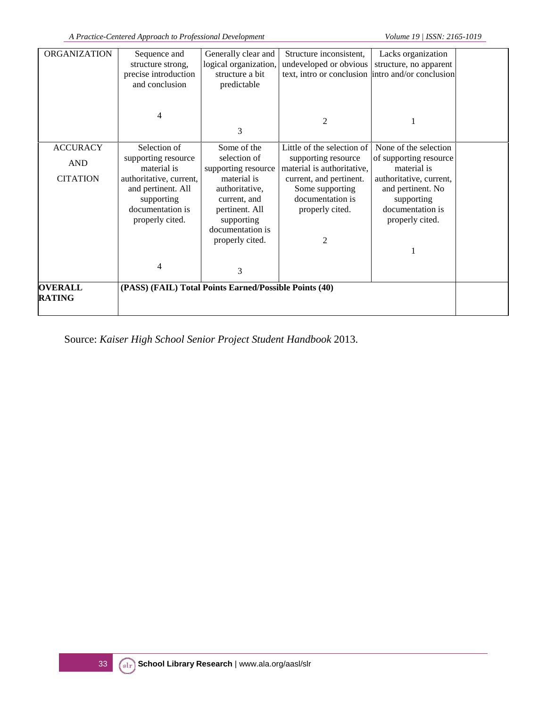| <b>ORGANIZATION</b>             | Sequence and<br>structure strong,                      | Generally clear and<br>logical organization, | Structure inconsistent,<br>undeveloped or obvious | Lacks organization<br>structure, no apparent |  |
|---------------------------------|--------------------------------------------------------|----------------------------------------------|---------------------------------------------------|----------------------------------------------|--|
|                                 | precise introduction                                   | structure a bit                              | text, intro or conclusion intro and/or conclusion |                                              |  |
|                                 | and conclusion                                         | predictable                                  |                                                   |                                              |  |
|                                 | 4                                                      | 3                                            | $\overline{2}$                                    | 1                                            |  |
| <b>ACCURACY</b>                 | Selection of                                           | Some of the                                  | Little of the selection of                        | None of the selection                        |  |
| <b>AND</b>                      | supporting resource<br>material is                     | selection of<br>supporting resource          | supporting resource<br>material is authoritative, | of supporting resource<br>material is        |  |
| <b>CITATION</b>                 | authoritative, current,                                | material is                                  | current, and pertinent.                           | authoritative, current,                      |  |
|                                 | and pertinent. All                                     | authoritative,                               | Some supporting                                   | and pertinent. No                            |  |
|                                 | supporting                                             | current, and                                 | documentation is                                  | supporting                                   |  |
|                                 | documentation is                                       | pertinent. All                               | properly cited.                                   | documentation is                             |  |
|                                 | properly cited.                                        | supporting<br>documentation is               |                                                   | properly cited.                              |  |
|                                 |                                                        | properly cited.                              | 2                                                 |                                              |  |
|                                 |                                                        |                                              |                                                   |                                              |  |
|                                 |                                                        |                                              |                                                   |                                              |  |
|                                 | $\overline{4}$                                         | 3                                            |                                                   |                                              |  |
| <b>OVERALL</b><br><b>RATING</b> | (PASS) (FAIL) Total Points Earned/Possible Points (40) |                                              |                                                   |                                              |  |

Source: *Kaiser High School Senior Project Student Handbook* 2013.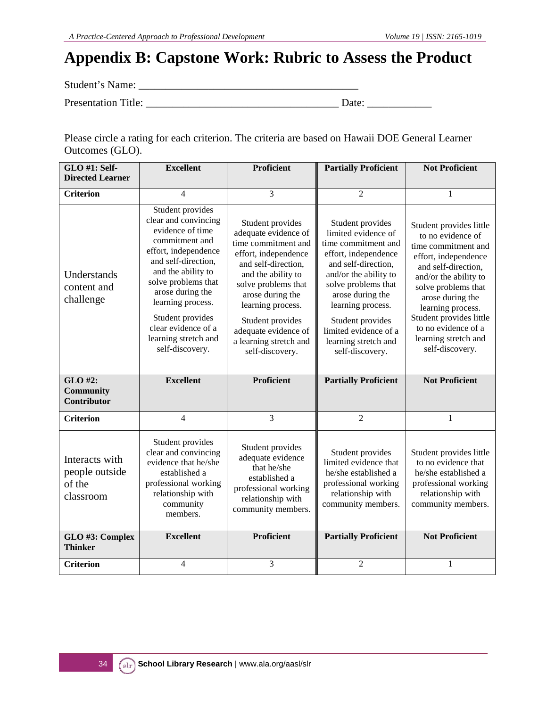## **Appendix B: Capstone Work: Rubric to Assess the Product**

Student's Name: \_\_\_\_\_\_\_\_\_\_\_\_\_\_\_\_\_\_\_\_\_\_\_\_\_\_\_\_\_\_\_\_\_\_\_\_\_\_\_\_\_

Presentation Title: \_\_\_\_\_\_\_\_\_\_\_\_\_\_\_\_\_\_\_\_\_\_\_\_\_\_\_\_\_\_\_\_\_\_\_\_ Date: \_\_\_\_\_\_\_\_\_\_\_\_

Please circle a rating for each criterion. The criteria are based on Hawaii DOE General Learner Outcomes (GLO).

| GLO #1: Self-                                           | <b>Excellent</b>                                                                                                                                                                                                                                                                                          | <b>Proficient</b>                                                                                                                                                                                                                                                                             | <b>Partially Proficient</b>                                                                                                                                                                                                                                                                    | <b>Not Proficient</b>                                                                                                                                                                                                                                                                                    |
|---------------------------------------------------------|-----------------------------------------------------------------------------------------------------------------------------------------------------------------------------------------------------------------------------------------------------------------------------------------------------------|-----------------------------------------------------------------------------------------------------------------------------------------------------------------------------------------------------------------------------------------------------------------------------------------------|------------------------------------------------------------------------------------------------------------------------------------------------------------------------------------------------------------------------------------------------------------------------------------------------|----------------------------------------------------------------------------------------------------------------------------------------------------------------------------------------------------------------------------------------------------------------------------------------------------------|
| <b>Directed Learner</b>                                 |                                                                                                                                                                                                                                                                                                           |                                                                                                                                                                                                                                                                                               |                                                                                                                                                                                                                                                                                                |                                                                                                                                                                                                                                                                                                          |
| <b>Criterion</b>                                        | 4                                                                                                                                                                                                                                                                                                         | 3                                                                                                                                                                                                                                                                                             | $\overline{c}$                                                                                                                                                                                                                                                                                 |                                                                                                                                                                                                                                                                                                          |
| Understands<br>content and<br>challenge                 | Student provides<br>clear and convincing<br>evidence of time<br>commitment and<br>effort, independence<br>and self-direction,<br>and the ability to<br>solve problems that<br>arose during the<br>learning process.<br>Student provides<br>clear evidence of a<br>learning stretch and<br>self-discovery. | Student provides<br>adequate evidence of<br>time commitment and<br>effort, independence<br>and self-direction,<br>and the ability to<br>solve problems that<br>arose during the<br>learning process.<br>Student provides<br>adequate evidence of<br>a learning stretch and<br>self-discovery. | Student provides<br>limited evidence of<br>time commitment and<br>effort, independence<br>and self-direction,<br>and/or the ability to<br>solve problems that<br>arose during the<br>learning process.<br>Student provides<br>limited evidence of a<br>learning stretch and<br>self-discovery. | Student provides little<br>to no evidence of<br>time commitment and<br>effort, independence<br>and self-direction,<br>and/or the ability to<br>solve problems that<br>arose during the<br>learning process.<br>Student provides little<br>to no evidence of a<br>learning stretch and<br>self-discovery. |
| GLO #2:<br><b>Community</b><br><b>Contributor</b>       | <b>Excellent</b>                                                                                                                                                                                                                                                                                          | <b>Proficient</b>                                                                                                                                                                                                                                                                             | <b>Partially Proficient</b>                                                                                                                                                                                                                                                                    | <b>Not Proficient</b>                                                                                                                                                                                                                                                                                    |
| <b>Criterion</b>                                        | $\overline{4}$                                                                                                                                                                                                                                                                                            | 3                                                                                                                                                                                                                                                                                             | $\overline{2}$                                                                                                                                                                                                                                                                                 | $\mathbf{1}$                                                                                                                                                                                                                                                                                             |
| Interacts with<br>people outside<br>of the<br>classroom | Student provides<br>clear and convincing<br>evidence that he/she<br>established a<br>professional working<br>relationship with<br>community<br>members.<br><b>Excellent</b>                                                                                                                               | Student provides<br>adequate evidence<br>that he/she<br>established a<br>professional working<br>relationship with<br>community members.<br><b>Proficient</b>                                                                                                                                 | Student provides<br>limited evidence that<br>he/she established a<br>professional working<br>relationship with<br>community members.<br><b>Partially Proficient</b>                                                                                                                            | Student provides little<br>to no evidence that<br>he/she established a<br>professional working<br>relationship with<br>community members.<br><b>Not Proficient</b>                                                                                                                                       |
| GLO #3: Complex<br><b>Thinker</b>                       |                                                                                                                                                                                                                                                                                                           |                                                                                                                                                                                                                                                                                               |                                                                                                                                                                                                                                                                                                |                                                                                                                                                                                                                                                                                                          |
| <b>Criterion</b>                                        | 4                                                                                                                                                                                                                                                                                                         | 3                                                                                                                                                                                                                                                                                             | $\overline{2}$                                                                                                                                                                                                                                                                                 | 1                                                                                                                                                                                                                                                                                                        |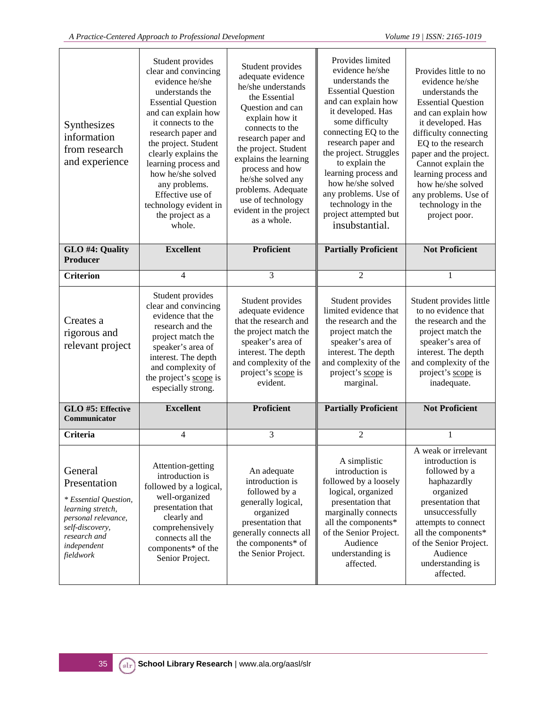| Synthesizes<br>information<br>from research<br>and experience                                                                                               | Student provides<br>clear and convincing<br>evidence he/she<br>understands the<br><b>Essential Question</b><br>and can explain how<br>it connects to the<br>research paper and<br>the project. Student<br>clearly explains the<br>learning process and<br>how he/she solved<br>any problems.<br>Effective use of<br>technology evident in<br>the project as a<br>whole. | Student provides<br>adequate evidence<br>he/she understands<br>the Essential<br>Question and can<br>explain how it<br>connects to the<br>research paper and<br>the project. Student<br>explains the learning<br>process and how<br>he/she solved any<br>problems. Adequate<br>use of technology<br>evident in the project<br>as a whole. | Provides limited<br>evidence he/she<br>understands the<br><b>Essential Question</b><br>and can explain how<br>it developed. Has<br>some difficulty<br>connecting EQ to the<br>research paper and<br>the project. Struggles<br>to explain the<br>learning process and<br>how he/she solved<br>any problems. Use of<br>technology in the<br>project attempted but<br>insubstantial. | Provides little to no<br>evidence he/she<br>understands the<br><b>Essential Question</b><br>and can explain how<br>it developed. Has<br>difficulty connecting<br>EQ to the research<br>paper and the project.<br>Cannot explain the<br>learning process and<br>how he/she solved<br>any problems. Use of<br>technology in the<br>project poor. |
|-------------------------------------------------------------------------------------------------------------------------------------------------------------|-------------------------------------------------------------------------------------------------------------------------------------------------------------------------------------------------------------------------------------------------------------------------------------------------------------------------------------------------------------------------|------------------------------------------------------------------------------------------------------------------------------------------------------------------------------------------------------------------------------------------------------------------------------------------------------------------------------------------|-----------------------------------------------------------------------------------------------------------------------------------------------------------------------------------------------------------------------------------------------------------------------------------------------------------------------------------------------------------------------------------|------------------------------------------------------------------------------------------------------------------------------------------------------------------------------------------------------------------------------------------------------------------------------------------------------------------------------------------------|
| GLO #4: Quality<br>Producer                                                                                                                                 | <b>Excellent</b>                                                                                                                                                                                                                                                                                                                                                        | <b>Proficient</b>                                                                                                                                                                                                                                                                                                                        | <b>Partially Proficient</b>                                                                                                                                                                                                                                                                                                                                                       | <b>Not Proficient</b>                                                                                                                                                                                                                                                                                                                          |
| <b>Criterion</b>                                                                                                                                            | $\overline{4}$                                                                                                                                                                                                                                                                                                                                                          | 3                                                                                                                                                                                                                                                                                                                                        | $\overline{2}$                                                                                                                                                                                                                                                                                                                                                                    | 1                                                                                                                                                                                                                                                                                                                                              |
| Creates a<br>rigorous and<br>relevant project                                                                                                               | Student provides<br>clear and convincing<br>evidence that the<br>research and the<br>project match the<br>speaker's area of<br>interest. The depth<br>and complexity of<br>the project's scope is<br>especially strong.                                                                                                                                                 | Student provides<br>adequate evidence<br>that the research and<br>the project match the<br>speaker's area of<br>interest. The depth<br>and complexity of the<br>project's scope is<br>evident.                                                                                                                                           | Student provides<br>limited evidence that<br>the research and the<br>project match the<br>speaker's area of<br>interest. The depth<br>and complexity of the<br>project's scope is<br>marginal.                                                                                                                                                                                    | Student provides little<br>to no evidence that<br>the research and the<br>project match the<br>speaker's area of<br>interest. The depth<br>and complexity of the<br>project's scope is<br>inadequate.                                                                                                                                          |
| GLO #5: Effective<br>Communicator                                                                                                                           | <b>Excellent</b>                                                                                                                                                                                                                                                                                                                                                        | <b>Proficient</b>                                                                                                                                                                                                                                                                                                                        | <b>Partially Proficient</b>                                                                                                                                                                                                                                                                                                                                                       | <b>Not Proficient</b>                                                                                                                                                                                                                                                                                                                          |
| Criteria                                                                                                                                                    | $\overline{4}$                                                                                                                                                                                                                                                                                                                                                          | 3                                                                                                                                                                                                                                                                                                                                        | $\mathfrak{2}$                                                                                                                                                                                                                                                                                                                                                                    | 1                                                                                                                                                                                                                                                                                                                                              |
| General<br>Presentation<br>* Essential Question,<br>learning stretch,<br>personal relevance,<br>self-discovery,<br>research and<br>independent<br>fieldwork | Attention-getting<br>introduction is<br>followed by a logical,<br>well-organized<br>presentation that<br>clearly and<br>comprehensively<br>connects all the<br>components* of the<br>Senior Project.                                                                                                                                                                    | An adequate<br>introduction is<br>followed by a<br>generally logical,<br>organized<br>presentation that<br>generally connects all<br>the components* of<br>the Senior Project.                                                                                                                                                           | A simplistic<br>introduction is<br>followed by a loosely<br>logical, organized<br>presentation that<br>marginally connects<br>all the components*<br>of the Senior Project.<br>Audience<br>understanding is<br>affected.                                                                                                                                                          | A weak or irrelevant<br>introduction is<br>followed by a<br>haphazardly<br>organized<br>presentation that<br>unsuccessfully<br>attempts to connect<br>all the components*<br>of the Senior Project.<br>Audience<br>understanding is<br>affected.                                                                                               |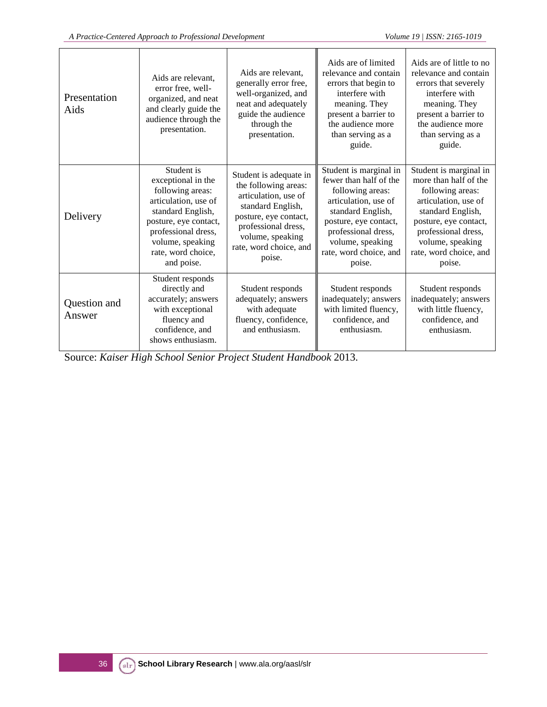| Presentation<br>Aids   | Aids are relevant.<br>error free, well-<br>organized, and neat<br>and clearly guide the<br>audience through the<br>presentation.                                                                          | Aids are relevant.<br>generally error free,<br>well-organized, and<br>neat and adequately<br>guide the audience<br>through the<br>presentation.                                                     | Aids are of limited<br>relevance and contain<br>errors that begin to<br>interfere with<br>meaning. They<br>present a barrier to<br>the audience more<br>than serving as a<br>guide.                                       | Aids are of little to no<br>relevance and contain<br>errors that severely<br>interfere with<br>meaning. They<br>present a barrier to<br>the audience more<br>than serving as a<br>guide.                                 |
|------------------------|-----------------------------------------------------------------------------------------------------------------------------------------------------------------------------------------------------------|-----------------------------------------------------------------------------------------------------------------------------------------------------------------------------------------------------|---------------------------------------------------------------------------------------------------------------------------------------------------------------------------------------------------------------------------|--------------------------------------------------------------------------------------------------------------------------------------------------------------------------------------------------------------------------|
| Delivery               | Student is<br>exceptional in the<br>following areas:<br>articulation, use of<br>standard English,<br>posture, eye contact,<br>professional dress,<br>volume, speaking<br>rate, word choice,<br>and poise. | Student is adequate in<br>the following areas:<br>articulation, use of<br>standard English,<br>posture, eye contact,<br>professional dress,<br>volume, speaking<br>rate, word choice, and<br>poise. | Student is marginal in<br>fewer than half of the<br>following areas:<br>articulation, use of<br>standard English,<br>posture, eye contact,<br>professional dress,<br>volume, speaking<br>rate, word choice, and<br>poise. | Student is marginal in<br>more than half of the<br>following areas:<br>articulation, use of<br>standard English,<br>posture, eye contact,<br>professional dress,<br>volume, speaking<br>rate, word choice, and<br>poise. |
| Question and<br>Answer | Student responds<br>directly and<br>accurately; answers<br>with exceptional<br>fluency and<br>confidence, and<br>shows enthusiasm.                                                                        | Student responds<br>adequately; answers<br>with adequate<br>fluency, confidence,<br>and enthusiasm.                                                                                                 | Student responds<br>inadequately; answers<br>with limited fluency,<br>confidence, and<br>enthusiasm.                                                                                                                      | Student responds<br>inadequately; answers<br>with little fluency,<br>confidence, and<br>enthusiasm.                                                                                                                      |

Source: *Kaiser High School Senior Project Student Handbook* 2013.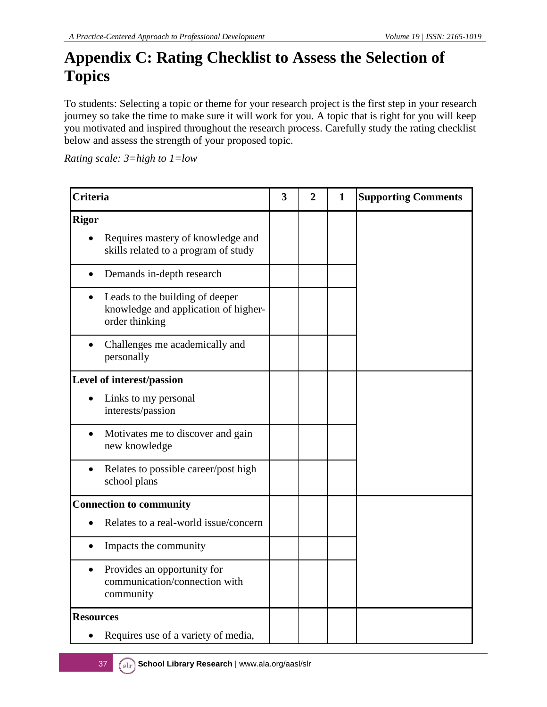## **Appendix C: Rating Checklist to Assess the Selection of Topics**

To students: Selecting a topic or theme for your research project is the first step in your research journey so take the time to make sure it will work for you. A topic that is right for you will keep you motivated and inspired throughout the research process. Carefully study the rating checklist below and assess the strength of your proposed topic.

*Rating scale: 3=high to 1=low*

|                  | <b>Criteria</b>                                                                           |  |  | $\mathbf{1}$ | <b>Supporting Comments</b> |
|------------------|-------------------------------------------------------------------------------------------|--|--|--------------|----------------------------|
| <b>Rigor</b>     | Requires mastery of knowledge and<br>skills related to a program of study                 |  |  |              |                            |
| $\bullet$        | Demands in-depth research                                                                 |  |  |              |                            |
|                  | Leads to the building of deeper<br>knowledge and application of higher-<br>order thinking |  |  |              |                            |
|                  | Challenges me academically and<br>personally                                              |  |  |              |                            |
|                  | Level of interest/passion                                                                 |  |  |              |                            |
|                  | Links to my personal<br>interests/passion                                                 |  |  |              |                            |
| $\bullet$        | Motivates me to discover and gain<br>new knowledge                                        |  |  |              |                            |
|                  | Relates to possible career/post high<br>school plans                                      |  |  |              |                            |
|                  | <b>Connection to community</b>                                                            |  |  |              |                            |
|                  | Relates to a real-world issue/concern                                                     |  |  |              |                            |
| $\bullet$        | Impacts the community                                                                     |  |  |              |                            |
| $\bullet$        | Provides an opportunity for<br>communication/connection with<br>community                 |  |  |              |                            |
| <b>Resources</b> |                                                                                           |  |  |              |                            |
|                  | Requires use of a variety of media,                                                       |  |  |              |                            |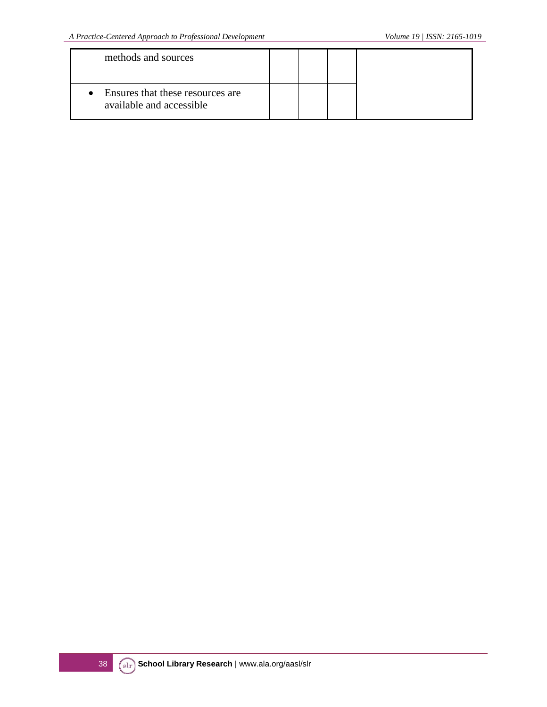| methods and sources                                                       |  |  |
|---------------------------------------------------------------------------|--|--|
| Ensures that these resources are<br>$\bullet$<br>available and accessible |  |  |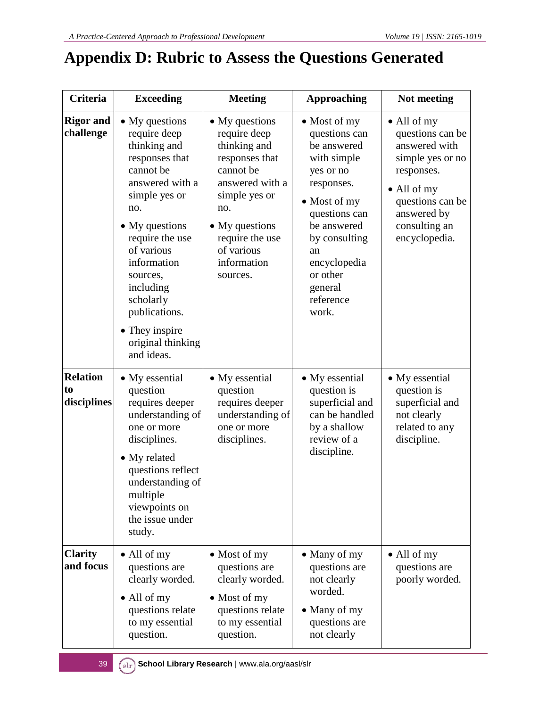## **Appendix D: Rubric to Assess the Questions Generated**

| <b>Criteria</b>                      | <b>Exceeding</b>                                                                                                                                                                                                                                                                                       | <b>Meeting</b>                                                                                                                                                                                         | <b>Approaching</b>                                                                                                                                                                                                                         | Not meeting                                                                                                                                                                            |
|--------------------------------------|--------------------------------------------------------------------------------------------------------------------------------------------------------------------------------------------------------------------------------------------------------------------------------------------------------|--------------------------------------------------------------------------------------------------------------------------------------------------------------------------------------------------------|--------------------------------------------------------------------------------------------------------------------------------------------------------------------------------------------------------------------------------------------|----------------------------------------------------------------------------------------------------------------------------------------------------------------------------------------|
| <b>Rigor</b> and<br>challenge        | • My questions<br>require deep<br>thinking and<br>responses that<br>cannot be<br>answered with a<br>simple yes or<br>no.<br>• My questions<br>require the use<br>of various<br>information<br>sources,<br>including<br>scholarly<br>publications.<br>• They inspire<br>original thinking<br>and ideas. | • My questions<br>require deep<br>thinking and<br>responses that<br>cannot be<br>answered with a<br>simple yes or<br>no.<br>• My questions<br>require the use<br>of various<br>information<br>sources. | $\bullet$ Most of my<br>questions can<br>be answered<br>with simple<br>yes or no<br>responses.<br>$\bullet$ Most of my<br>questions can<br>be answered<br>by consulting<br>an<br>encyclopedia<br>or other<br>general<br>reference<br>work. | $\bullet$ All of my<br>questions can be<br>answered with<br>simple yes or no<br>responses.<br>$\bullet$ All of my<br>questions can be<br>answered by<br>consulting an<br>encyclopedia. |
| <b>Relation</b><br>to<br>disciplines | • My essential<br>question<br>requires deeper<br>understanding of<br>one or more<br>disciplines.<br>• My related<br>questions reflect<br>understanding of<br>multiple<br>viewpoints on<br>the issue under<br>study.                                                                                    | • My essential<br>question<br>requires deeper<br>understanding of<br>one or more<br>disciplines.                                                                                                       | • My essential<br>question is<br>superficial and<br>can be handled<br>by a shallow<br>review of a<br>discipline.                                                                                                                           | • My essential<br>question is<br>superficial and<br>not clearly<br>related to any<br>discipline.                                                                                       |
| <b>Clarity</b><br>and focus          | • All of my<br>questions are<br>clearly worded.<br>• All of my<br>questions relate<br>to my essential<br>question.                                                                                                                                                                                     | $\bullet$ Most of my<br>questions are<br>clearly worded.<br>$\bullet$ Most of my<br>questions relate<br>to my essential<br>question.                                                                   | • Many of my<br>questions are<br>not clearly<br>worded.<br>• Many of my<br>questions are<br>not clearly                                                                                                                                    | • All of my<br>questions are<br>poorly worded.                                                                                                                                         |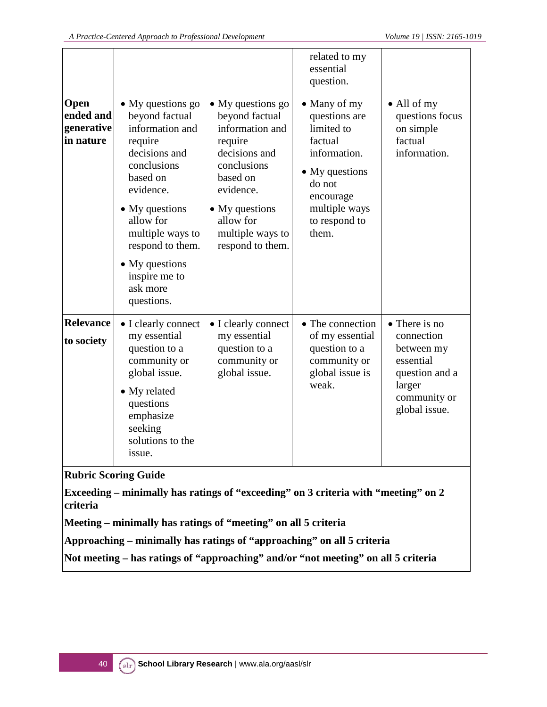|                                              |                                                                                                                                                                                                                                                                        |                                                                                                                                                                                                           | related to my<br>essential<br>question.                                                                                                                    |                                                                                                                     |
|----------------------------------------------|------------------------------------------------------------------------------------------------------------------------------------------------------------------------------------------------------------------------------------------------------------------------|-----------------------------------------------------------------------------------------------------------------------------------------------------------------------------------------------------------|------------------------------------------------------------------------------------------------------------------------------------------------------------|---------------------------------------------------------------------------------------------------------------------|
| Open<br>ended and<br>generative<br>in nature | • My questions go<br>beyond factual<br>information and<br>require<br>decisions and<br>conclusions<br>based on<br>evidence.<br>$\bullet$ My questions<br>allow for<br>multiple ways to<br>respond to them.<br>• My questions<br>inspire me to<br>ask more<br>questions. | • My questions go<br>beyond factual<br>information and<br>require<br>decisions and<br>conclusions<br>based on<br>evidence.<br>$\bullet$ My questions<br>allow for<br>multiple ways to<br>respond to them. | • Many of my<br>questions are<br>limited to<br>factual<br>information.<br>• My questions<br>do not<br>encourage<br>multiple ways<br>to respond to<br>them. | $\bullet$ All of my<br>questions focus<br>on simple<br>factual<br>information.                                      |
| <b>Relevance</b><br>to society               | • I clearly connect<br>my essential<br>question to a<br>community or<br>global issue.<br>• My related<br>questions<br>emphasize<br>seeking<br>solutions to the<br>issue.                                                                                               | • I clearly connect<br>my essential<br>question to a<br>community or<br>global issue.                                                                                                                     | • The connection<br>of my essential<br>question to a<br>community or<br>global issue is<br>weak.                                                           | • There is no<br>connection<br>between my<br>essential<br>question and a<br>larger<br>community or<br>global issue. |
| criteria                                     | <b>Rubric Scoring Guide</b>                                                                                                                                                                                                                                            | Exceeding – minimally has ratings of "exceeding" on 3 criteria with "meeting" on 2<br>Meeting – minimally has ratings of "meeting" on all 5 criteria                                                      |                                                                                                                                                            |                                                                                                                     |

**Approaching – minimally has ratings of "approaching" on all 5 criteria**

**Not meeting – has ratings of "approaching" and/or "not meeting" on all 5 criteria**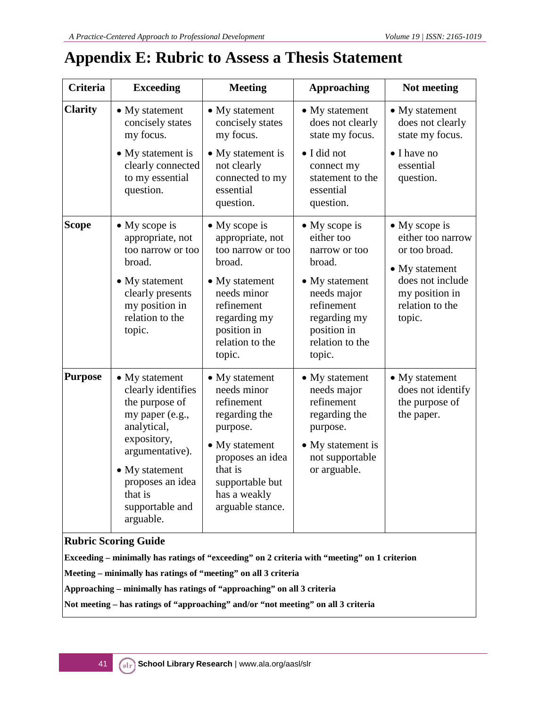## **Appendix E: Rubric to Assess a Thesis Statement**

| <b>Criteria</b> | <b>Exceeding</b>                                                                                                                                                                                                    | <b>Meeting</b>                                                                                                                                                                      | <b>Approaching</b>                                                                                                                                                        | Not meeting                                                                                                                              |
|-----------------|---------------------------------------------------------------------------------------------------------------------------------------------------------------------------------------------------------------------|-------------------------------------------------------------------------------------------------------------------------------------------------------------------------------------|---------------------------------------------------------------------------------------------------------------------------------------------------------------------------|------------------------------------------------------------------------------------------------------------------------------------------|
| <b>Clarity</b>  | • My statement<br>concisely states<br>my focus.                                                                                                                                                                     | • My statement<br>concisely states<br>my focus.                                                                                                                                     | • My statement<br>does not clearly<br>state my focus.                                                                                                                     | • My statement<br>does not clearly<br>state my focus.                                                                                    |
|                 | • My statement is<br>clearly connected<br>to my essential<br>question.                                                                                                                                              | • My statement is<br>not clearly<br>connected to my<br>essential<br>question.                                                                                                       | • I did not<br>connect my<br>statement to the<br>essential<br>question.                                                                                                   | $\bullet$ I have no<br>essential<br>question.                                                                                            |
| Scope           | $\bullet$ My scope is<br>appropriate, not<br>too narrow or too<br>broad.<br>• My statement<br>clearly presents<br>my position in<br>relation to the<br>topic.                                                       | $\bullet$ My scope is<br>appropriate, not<br>too narrow or too<br>broad.<br>• My statement<br>needs minor<br>refinement<br>regarding my<br>position in<br>relation to the<br>topic. | $\bullet$ My scope is<br>either too<br>narrow or too<br>broad.<br>• My statement<br>needs major<br>refinement<br>regarding my<br>position in<br>relation to the<br>topic. | • My scope is<br>either too narrow<br>or too broad.<br>• My statement<br>does not include<br>my position in<br>relation to the<br>topic. |
| <b>Purpose</b>  | $\bullet$ My statement<br>clearly identifies<br>the purpose of<br>my paper (e.g.,<br>analytical,<br>expository,<br>argumentative).<br>• My statement<br>proposes an idea<br>that is<br>supportable and<br>arguable. | • My statement<br>needs minor<br>refinement<br>regarding the<br>purpose.<br>• My statement<br>proposes an idea<br>that is<br>supportable but<br>has a weakly<br>arguable stance.    | • My statement<br>needs major<br>refinement<br>regarding the<br>purpose.<br>• My statement is<br>not supportable<br>or arguable.                                          | • My statement<br>does not identify<br>the purpose of<br>the paper.                                                                      |
|                 | <b>Rubric Scoring Guide</b><br>Exceeding – minimally has ratings of "exceeding" on 2 criteria with "meeting" on 1 criterion                                                                                         |                                                                                                                                                                                     |                                                                                                                                                                           |                                                                                                                                          |
|                 | Meeting – minimally has ratings of "meeting" on all 3 criteria                                                                                                                                                      |                                                                                                                                                                                     |                                                                                                                                                                           |                                                                                                                                          |

**Approaching – minimally has ratings of "approaching" on all 3 criteria**

**Not meeting – has ratings of "approaching" and/or "not meeting" on all 3 criteria**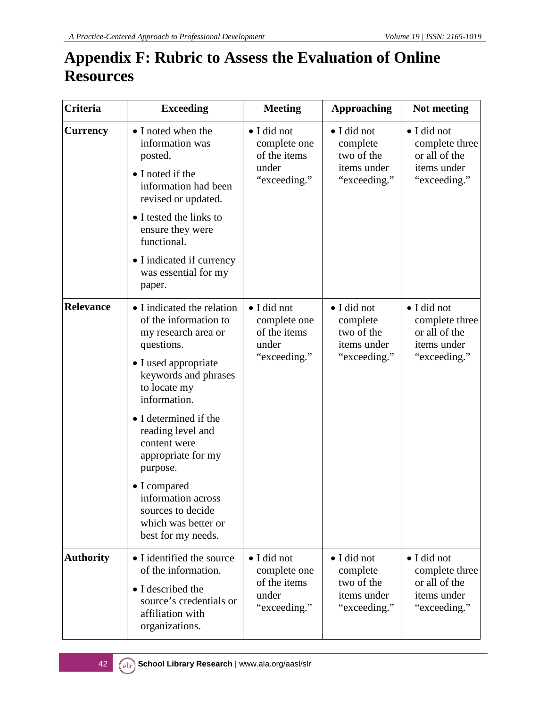## **Appendix F: Rubric to Assess the Evaluation of Online Resources**

| <b>Criteria</b>  | <b>Exceeding</b>                                                                                                                                                         | <b>Meeting</b>                                                               | <b>Approaching</b>                                                   | Not meeting                                                                           |
|------------------|--------------------------------------------------------------------------------------------------------------------------------------------------------------------------|------------------------------------------------------------------------------|----------------------------------------------------------------------|---------------------------------------------------------------------------------------|
| <b>Currency</b>  | • I noted when the<br>information was<br>posted.<br>• I noted if the<br>information had been<br>revised or updated.                                                      | · I did not<br>complete one<br>of the items<br>under<br>"exceeding."         | • I did not<br>complete<br>two of the<br>items under<br>"exceeding." | • I did not<br>complete three<br>or all of the<br>items under<br>"exceeding."         |
|                  | • I tested the links to<br>ensure they were<br>functional.                                                                                                               |                                                                              |                                                                      |                                                                                       |
|                  | • I indicated if currency<br>was essential for my<br>paper.                                                                                                              |                                                                              |                                                                      |                                                                                       |
| <b>Relevance</b> | • I indicated the relation<br>of the information to<br>my research area or<br>questions.<br>• I used appropriate<br>keywords and phrases<br>to locate my<br>information. | • I did not<br>complete one<br>of the items<br>under<br>"exceeding."         | · I did not<br>complete<br>two of the<br>items under<br>"exceeding." | · I did not<br>complete three<br>or all of the<br>items under<br>"exceeding."         |
|                  | • I determined if the<br>reading level and<br>content were<br>appropriate for my<br>purpose.                                                                             |                                                                              |                                                                      |                                                                                       |
|                  | • I compared<br>information across<br>sources to decide<br>which was better or<br>best for my needs.                                                                     |                                                                              |                                                                      |                                                                                       |
| <b>Authority</b> | • I identified the source<br>of the information.<br>• I described the<br>source's credentials or<br>affiliation with<br>organizations.                                   | $\bullet$ I did not<br>complete one<br>of the items<br>under<br>"exceeding." | · I did not<br>complete<br>two of the<br>items under<br>"exceeding." | $\bullet$ I did not<br>complete three<br>or all of the<br>items under<br>"exceeding." |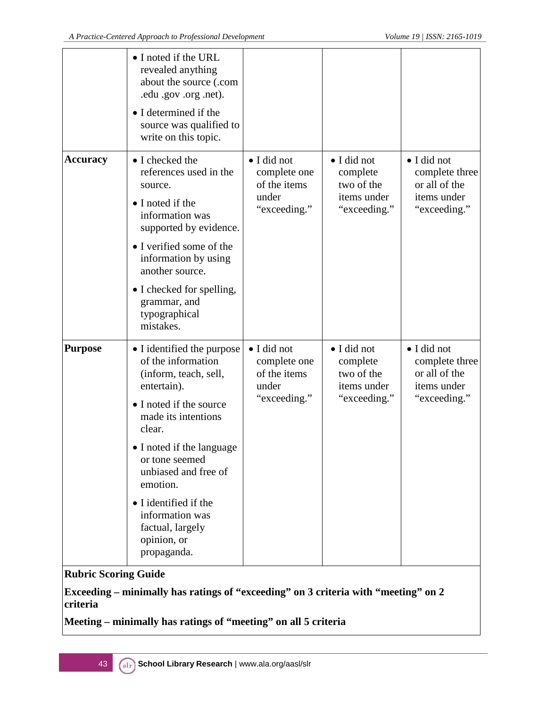|                             | • I noted if the URL<br>revealed anything<br>about the source (.com<br>.edu .gov .org .net).<br>• I determined if the<br>source was qualified to<br>write on this topic.                                                                                                                                                              |                                                                      |                                                                      |                                                                               |
|-----------------------------|---------------------------------------------------------------------------------------------------------------------------------------------------------------------------------------------------------------------------------------------------------------------------------------------------------------------------------------|----------------------------------------------------------------------|----------------------------------------------------------------------|-------------------------------------------------------------------------------|
| <b>Accuracy</b>             | • I checked the<br>references used in the<br>source.<br>• I noted if the<br>information was<br>supported by evidence.<br>• I verified some of the<br>information by using<br>another source.<br>• I checked for spelling,<br>grammar, and<br>typographical<br>mistakes.                                                               | • I did not<br>complete one<br>of the items<br>under<br>"exceeding." | · I did not<br>complete<br>two of the<br>items under<br>"exceeding." | • I did not<br>complete three<br>or all of the<br>items under<br>"exceeding." |
| <b>Purpose</b>              | • I identified the purpose<br>of the information<br>(inform, teach, sell,<br>entertain).<br>• I noted if the source<br>made its intentions<br>clear.<br>• I noted if the language<br>or tone seemed<br>unbiased and free of<br>emotion.<br>• I identified if the<br>information was<br>factual, largely<br>opinion, or<br>propaganda. | • I did not<br>complete one<br>of the items<br>under<br>"exceeding." | • I did not<br>complete<br>two of the<br>items under<br>"exceeding." | • I did not<br>complete three<br>or all of the<br>items under<br>"exceeding." |
| <b>Rubric Scoring Guide</b> |                                                                                                                                                                                                                                                                                                                                       |                                                                      |                                                                      |                                                                               |

**Exceeding – minimally has ratings of "exceeding" on 3 criteria with "meeting" on 2 criteria**

**Meeting – minimally has ratings of "meeting" on all 5 criteria**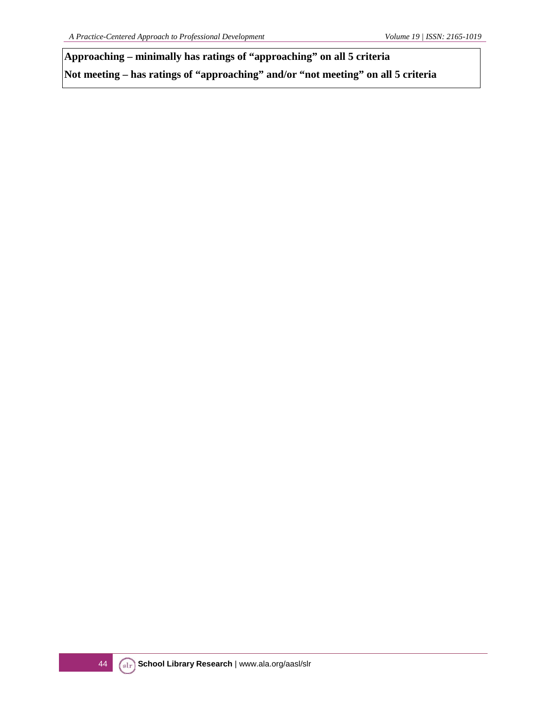**Approaching – minimally has ratings of "approaching" on all 5 criteria Not meeting – has ratings of "approaching" and/or "not meeting" on all 5 criteria**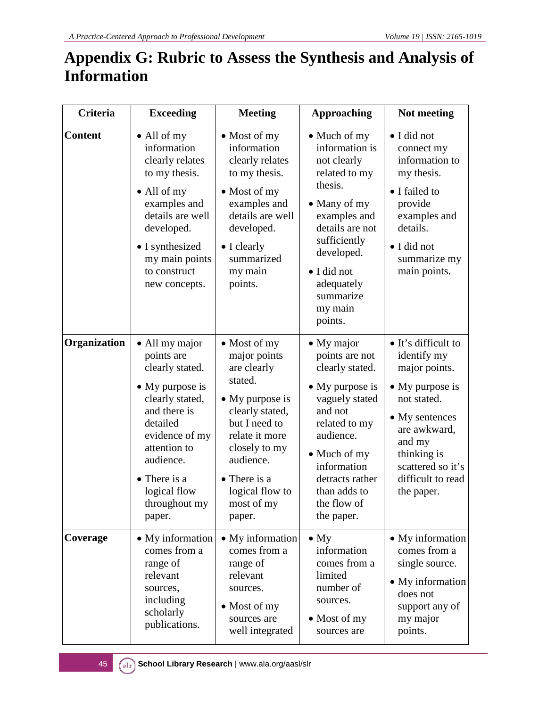## **Appendix G: Rubric to Assess the Synthesis and Analysis of Information**

| <b>Criteria</b> | <b>Exceeding</b>                                                                                                                                                                                                                    | <b>Meeting</b>                                                                                                                                                                                                                           | <b>Approaching</b>                                                                                                                                                                                                                   | Not meeting                                                                                                                                                                                                      |
|-----------------|-------------------------------------------------------------------------------------------------------------------------------------------------------------------------------------------------------------------------------------|------------------------------------------------------------------------------------------------------------------------------------------------------------------------------------------------------------------------------------------|--------------------------------------------------------------------------------------------------------------------------------------------------------------------------------------------------------------------------------------|------------------------------------------------------------------------------------------------------------------------------------------------------------------------------------------------------------------|
| <b>Content</b>  | • All of my<br>information<br>clearly relates<br>to my thesis.<br>$\bullet$ All of my<br>examples and<br>details are well<br>developed.<br>• I synthesized<br>my main points<br>to construct<br>new concepts.                       | $\bullet$ Most of my<br>information<br>clearly relates<br>to my thesis.<br>$\bullet$ Most of my<br>examples and<br>details are well<br>developed.<br>$\bullet$ I clearly<br>summarized<br>my main<br>points.                             | • Much of my<br>information is<br>not clearly<br>related to my<br>thesis.<br>• Many of my<br>examples and<br>details are not<br>sufficiently<br>developed.<br>• I did not<br>adequately<br>summarize<br>my main<br>points.           | · I did not<br>connect my<br>information to<br>my thesis.<br>• I failed to<br>provide<br>examples and<br>details.<br>· I did not<br>summarize my<br>main points.                                                 |
| Organization    | • All my major<br>points are<br>clearly stated.<br>$\bullet$ My purpose is<br>clearly stated,<br>and there is<br>detailed<br>evidence of my<br>attention to<br>audience.<br>• There is a<br>logical flow<br>throughout my<br>paper. | $\bullet$ Most of my<br>major points<br>are clearly<br>stated.<br>$\bullet$ My purpose is<br>clearly stated,<br>but I need to<br>relate it more<br>closely to my<br>audience.<br>• There is a<br>logical flow to<br>most of my<br>paper. | • My major<br>points are not<br>clearly stated.<br>$\bullet$ My purpose is<br>vaguely stated<br>and not<br>related to my<br>audience.<br>• Much of my<br>information<br>detracts rather<br>than adds to<br>the flow of<br>the paper. | • It's difficult to<br>identify my<br>major points.<br>$\bullet$ My purpose is<br>not stated.<br>• My sentences<br>are awkward,<br>and my<br>thinking is<br>scattered so it's<br>difficult to read<br>the paper. |
| Coverage        | • My information<br>comes from a<br>range of<br>relevant<br>sources,<br>including<br>scholarly<br>publications.                                                                                                                     | • My information<br>comes from a<br>range of<br>relevant<br>sources.<br>$\bullet$ Most of my<br>sources are<br>well integrated                                                                                                           | $\bullet$ My<br>information<br>comes from a<br>limited<br>number of<br>sources.<br>$\bullet$ Most of my<br>sources are                                                                                                               | • My information<br>comes from a<br>single source.<br>• My information<br>does not<br>support any of<br>my major<br>points.                                                                                      |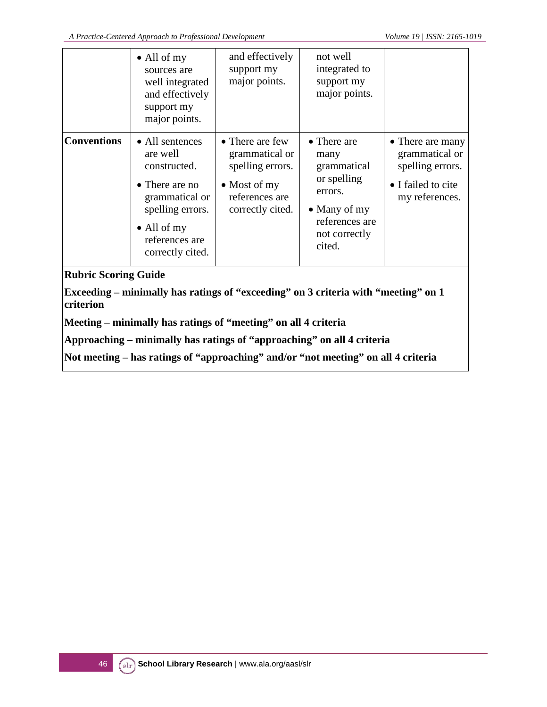|                    | $\bullet$ All of my<br>sources are<br>well integrated<br>and effectively<br>support my<br>major points.                                                  | and effectively<br>support my<br>major points.                                                                      | not well<br>integrated to<br>support my<br>major points.                                                                          |                                                                                                |
|--------------------|----------------------------------------------------------------------------------------------------------------------------------------------------------|---------------------------------------------------------------------------------------------------------------------|-----------------------------------------------------------------------------------------------------------------------------------|------------------------------------------------------------------------------------------------|
| <b>Conventions</b> | • All sentences<br>are well<br>constructed.<br>• There are no<br>grammatical or<br>spelling errors.<br>• All of my<br>references are<br>correctly cited. | • There are few<br>grammatical or<br>spelling errors.<br>$\bullet$ Most of my<br>references are<br>correctly cited. | • There are<br>many<br>grammatical<br>or spelling<br>errors.<br>$\bullet$ Many of my<br>references are<br>not correctly<br>cited. | • There are many<br>grammatical or<br>spelling errors.<br>• I failed to cite<br>my references. |

#### **Rubric Scoring Guide**

**Exceeding – minimally has ratings of "exceeding" on 3 criteria with "meeting" on 1 criterion**

**Meeting – minimally has ratings of "meeting" on all 4 criteria**

**Approaching – minimally has ratings of "approaching" on all 4 criteria**

**Not meeting – has ratings of "approaching" and/or "not meeting" on all 4 criteria**